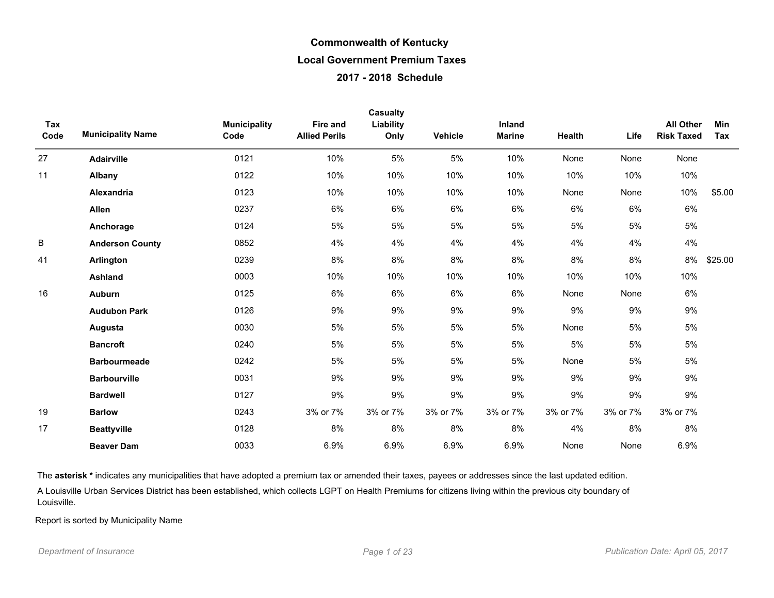| Tax<br>Code | <b>Municipality Name</b> | <b>Municipality</b><br>Code | Fire and<br><b>Allied Perils</b> | <b>Casualty</b><br>Liability<br>Only | Vehicle  | Inland<br><b>Marine</b> | Health   | Life     | <b>All Other</b><br><b>Risk Taxed</b> | <b>Min</b><br>Tax |
|-------------|--------------------------|-----------------------------|----------------------------------|--------------------------------------|----------|-------------------------|----------|----------|---------------------------------------|-------------------|
| 27          | <b>Adairville</b>        | 0121                        | 10%                              | 5%                                   | 5%       | 10%                     | None     | None     | None                                  |                   |
| 11          | Albany                   | 0122                        | 10%                              | 10%                                  | 10%      | 10%                     | 10%      | 10%      | 10%                                   |                   |
|             | Alexandria               | 0123                        | 10%                              | 10%                                  | 10%      | 10%                     | None     | None     | 10%                                   | \$5.00            |
|             | Allen                    | 0237                        | 6%                               | 6%                                   | 6%       | 6%                      | 6%       | 6%       | 6%                                    |                   |
|             | Anchorage                | 0124                        | 5%                               | 5%                                   | 5%       | 5%                      | 5%       | 5%       | 5%                                    |                   |
| B           | <b>Anderson County</b>   | 0852                        | 4%                               | 4%                                   | 4%       | 4%                      | 4%       | 4%       | 4%                                    |                   |
| 41          | Arlington                | 0239                        | 8%                               | 8%                                   | 8%       | 8%                      | 8%       | 8%       | 8%                                    | \$25.00           |
|             | <b>Ashland</b>           | 0003                        | 10%                              | 10%                                  | 10%      | 10%                     | 10%      | 10%      | 10%                                   |                   |
| 16          | <b>Auburn</b>            | 0125                        | 6%                               | 6%                                   | 6%       | 6%                      | None     | None     | 6%                                    |                   |
|             | <b>Audubon Park</b>      | 0126                        | 9%                               | 9%                                   | 9%       | 9%                      | 9%       | 9%       | 9%                                    |                   |
|             | Augusta                  | 0030                        | 5%                               | 5%                                   | 5%       | 5%                      | None     | 5%       | 5%                                    |                   |
|             | <b>Bancroft</b>          | 0240                        | 5%                               | 5%                                   | 5%       | 5%                      | 5%       | 5%       | 5%                                    |                   |
|             | <b>Barbourmeade</b>      | 0242                        | 5%                               | 5%                                   | 5%       | 5%                      | None     | 5%       | 5%                                    |                   |
|             | <b>Barbourville</b>      | 0031                        | 9%                               | 9%                                   | 9%       | 9%                      | 9%       | 9%       | 9%                                    |                   |
|             | <b>Bardwell</b>          | 0127                        | 9%                               | 9%                                   | 9%       | 9%                      | 9%       | 9%       | 9%                                    |                   |
| 19          | <b>Barlow</b>            | 0243                        | 3% or 7%                         | 3% or 7%                             | 3% or 7% | 3% or 7%                | 3% or 7% | 3% or 7% | 3% or 7%                              |                   |
| 17          | <b>Beattyville</b>       | 0128                        | 8%                               | 8%                                   | 8%       | 8%                      | 4%       | 8%       | 8%                                    |                   |
|             | <b>Beaver Dam</b>        | 0033                        | 6.9%                             | 6.9%                                 | 6.9%     | 6.9%                    | None     | None     | 6.9%                                  |                   |

The asterisk \* indicates any municipalities that have adopted a premium tax or amended their taxes, payees or addresses since the last updated edition.

A Louisville Urban Services District has been established, which collects LGPT on Health Premiums for citizens living within the previous city boundary of Louisville.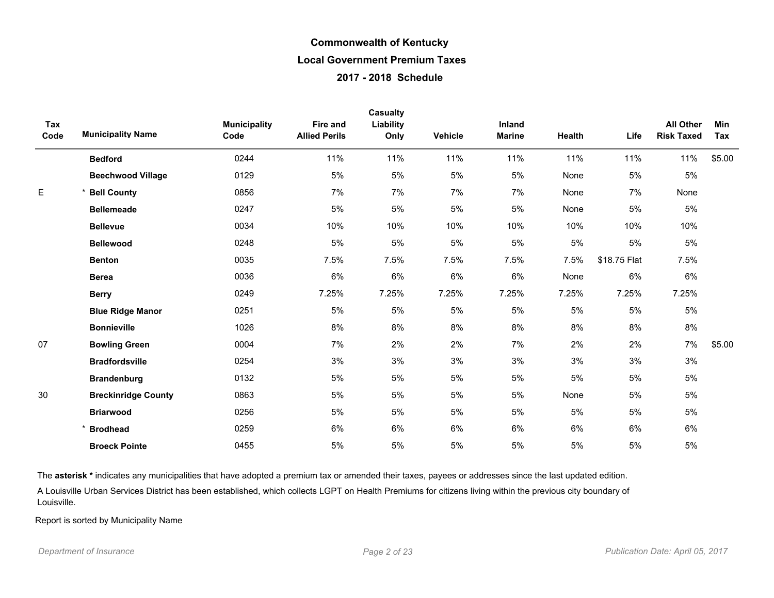| Tax<br>Code | <b>Municipality Name</b>   | <b>Municipality</b><br>Code | <b>Fire and</b><br><b>Allied Perils</b> | <b>Casualty</b><br>Liability<br>Only | Vehicle | Inland<br><b>Marine</b> | Health | Life         | <b>All Other</b><br><b>Risk Taxed</b> | <b>Min</b><br>Tax |
|-------------|----------------------------|-----------------------------|-----------------------------------------|--------------------------------------|---------|-------------------------|--------|--------------|---------------------------------------|-------------------|
|             | <b>Bedford</b>             | 0244                        | 11%                                     | 11%                                  | 11%     | 11%                     | 11%    | 11%          | 11%                                   | \$5.00            |
|             | <b>Beechwood Village</b>   | 0129                        | 5%                                      | 5%                                   | 5%      | 5%                      | None   | $5\%$        | $5\%$                                 |                   |
| E           | <b>Bell County</b>         | 0856                        | 7%                                      | 7%                                   | 7%      | 7%                      | None   | 7%           | None                                  |                   |
|             | <b>Bellemeade</b>          | 0247                        | 5%                                      | 5%                                   | 5%      | 5%                      | None   | 5%           | 5%                                    |                   |
|             | <b>Bellevue</b>            | 0034                        | 10%                                     | 10%                                  | 10%     | 10%                     | 10%    | 10%          | 10%                                   |                   |
|             | <b>Bellewood</b>           | 0248                        | 5%                                      | 5%                                   | 5%      | 5%                      | 5%     | $5\%$        | $5\%$                                 |                   |
|             | <b>Benton</b>              | 0035                        | 7.5%                                    | 7.5%                                 | 7.5%    | 7.5%                    | 7.5%   | \$18.75 Flat | 7.5%                                  |                   |
|             | <b>Berea</b>               | 0036                        | 6%                                      | 6%                                   | 6%      | 6%                      | None   | 6%           | 6%                                    |                   |
|             | <b>Berry</b>               | 0249                        | 7.25%                                   | 7.25%                                | 7.25%   | 7.25%                   | 7.25%  | 7.25%        | 7.25%                                 |                   |
|             | <b>Blue Ridge Manor</b>    | 0251                        | 5%                                      | 5%                                   | 5%      | 5%                      | 5%     | $5\%$        | $5\%$                                 |                   |
|             | <b>Bonnieville</b>         | 1026                        | 8%                                      | 8%                                   | 8%      | 8%                      | 8%     | 8%           | $8\%$                                 |                   |
| 07          | <b>Bowling Green</b>       | 0004                        | 7%                                      | 2%                                   | 2%      | 7%                      | 2%     | 2%           | 7%                                    | \$5.00            |
|             | <b>Bradfordsville</b>      | 0254                        | 3%                                      | 3%                                   | 3%      | 3%                      | 3%     | 3%           | 3%                                    |                   |
|             | <b>Brandenburg</b>         | 0132                        | 5%                                      | 5%                                   | 5%      | 5%                      | 5%     | 5%           | 5%                                    |                   |
| 30          | <b>Breckinridge County</b> | 0863                        | 5%                                      | 5%                                   | 5%      | 5%                      | None   | $5\%$        | $5\%$                                 |                   |
|             | <b>Briarwood</b>           | 0256                        | 5%                                      | 5%                                   | 5%      | 5%                      | 5%     | 5%           | 5%                                    |                   |
|             | <b>Brodhead</b>            | 0259                        | 6%                                      | 6%                                   | 6%      | 6%                      | 6%     | 6%           | 6%                                    |                   |
|             | <b>Broeck Pointe</b>       | 0455                        | 5%                                      | 5%                                   | 5%      | 5%                      | 5%     | 5%           | 5%                                    |                   |

The asterisk \* indicates any municipalities that have adopted a premium tax or amended their taxes, payees or addresses since the last updated edition.

A Louisville Urban Services District has been established, which collects LGPT on Health Premiums for citizens living within the previous city boundary of Louisville.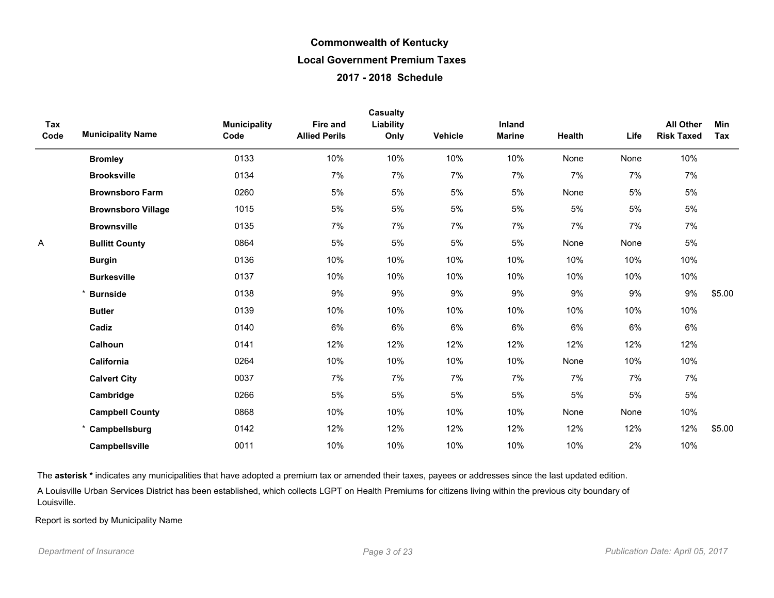| Tax<br>Code | <b>Municipality Name</b>  | <b>Municipality</b><br>Code | Fire and<br><b>Allied Perils</b> | <b>Casualty</b><br>Liability<br>Only | Vehicle | Inland<br><b>Marine</b> | Health | Life | <b>All Other</b><br><b>Risk Taxed</b> | Min<br>Tax |
|-------------|---------------------------|-----------------------------|----------------------------------|--------------------------------------|---------|-------------------------|--------|------|---------------------------------------|------------|
|             | <b>Bromley</b>            | 0133                        | 10%                              | 10%                                  | 10%     | 10%                     | None   | None | 10%                                   |            |
|             | <b>Brooksville</b>        | 0134                        | 7%                               | 7%                                   | 7%      | 7%                      | 7%     | 7%   | 7%                                    |            |
|             | <b>Brownsboro Farm</b>    | 0260                        | 5%                               | 5%                                   | 5%      | 5%                      | None   | 5%   | 5%                                    |            |
|             | <b>Brownsboro Village</b> | 1015                        | 5%                               | 5%                                   | 5%      | 5%                      | 5%     | 5%   | 5%                                    |            |
|             | <b>Brownsville</b>        | 0135                        | 7%                               | 7%                                   | 7%      | 7%                      | 7%     | 7%   | 7%                                    |            |
| Α           | <b>Bullitt County</b>     | 0864                        | 5%                               | 5%                                   | 5%      | 5%                      | None   | None | 5%                                    |            |
|             | <b>Burgin</b>             | 0136                        | 10%                              | 10%                                  | 10%     | 10%                     | 10%    | 10%  | 10%                                   |            |
|             | <b>Burkesville</b>        | 0137                        | 10%                              | 10%                                  | 10%     | 10%                     | 10%    | 10%  | 10%                                   |            |
|             | <b>Burnside</b>           | 0138                        | 9%                               | 9%                                   | 9%      | 9%                      | 9%     | 9%   | 9%                                    | \$5.00     |
|             | <b>Butler</b>             | 0139                        | 10%                              | 10%                                  | 10%     | 10%                     | 10%    | 10%  | 10%                                   |            |
|             | Cadiz                     | 0140                        | $6\%$                            | 6%                                   | 6%      | 6%                      | 6%     | 6%   | 6%                                    |            |
|             | Calhoun                   | 0141                        | 12%                              | 12%                                  | 12%     | 12%                     | 12%    | 12%  | 12%                                   |            |
|             | California                | 0264                        | 10%                              | 10%                                  | 10%     | 10%                     | None   | 10%  | 10%                                   |            |
|             | <b>Calvert City</b>       | 0037                        | 7%                               | 7%                                   | 7%      | 7%                      | 7%     | 7%   | 7%                                    |            |
|             | Cambridge                 | 0266                        | 5%                               | 5%                                   | $5%$    | 5%                      | $5%$   | 5%   | 5%                                    |            |
|             | <b>Campbell County</b>    | 0868                        | 10%                              | 10%                                  | 10%     | 10%                     | None   | None | 10%                                   |            |
|             | * Campbellsburg           | 0142                        | 12%                              | 12%                                  | 12%     | 12%                     | 12%    | 12%  | 12%                                   | \$5.00     |
|             | Campbellsville            | 0011                        | 10%                              | 10%                                  | 10%     | 10%                     | 10%    | 2%   | 10%                                   |            |

The asterisk \* indicates any municipalities that have adopted a premium tax or amended their taxes, payees or addresses since the last updated edition.

A Louisville Urban Services District has been established, which collects LGPT on Health Premiums for citizens living within the previous city boundary of Louisville.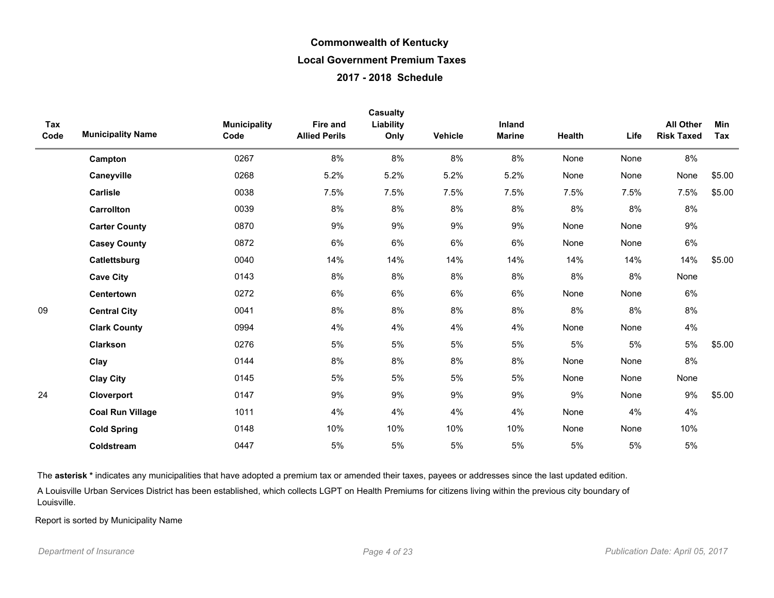| Tax<br>Code | <b>Municipality Name</b> | <b>Municipality</b><br>Code | <b>Fire and</b><br><b>Allied Perils</b> | Casualty<br>Liability<br>Only | Vehicle | Inland<br><b>Marine</b> | Health | Life  | <b>All Other</b><br><b>Risk Taxed</b> | Min<br>Tax |
|-------------|--------------------------|-----------------------------|-----------------------------------------|-------------------------------|---------|-------------------------|--------|-------|---------------------------------------|------------|
|             | Campton                  | 0267                        | 8%                                      | 8%                            | 8%      | 8%                      | None   | None  | 8%                                    |            |
|             | Caneyville               | 0268                        | 5.2%                                    | 5.2%                          | 5.2%    | 5.2%                    | None   | None  | None                                  | \$5.00     |
|             | Carlisle                 | 0038                        | 7.5%                                    | 7.5%                          | 7.5%    | 7.5%                    | 7.5%   | 7.5%  | 7.5%                                  | \$5.00     |
|             | Carrollton               | 0039                        | 8%                                      | 8%                            | 8%      | 8%                      | 8%     | 8%    | 8%                                    |            |
|             | <b>Carter County</b>     | 0870                        | $9\%$                                   | 9%                            | 9%      | 9%                      | None   | None  | $9\%$                                 |            |
|             | <b>Casey County</b>      | 0872                        | 6%                                      | 6%                            | 6%      | 6%                      | None   | None  | 6%                                    |            |
|             | Catlettsburg             | 0040                        | 14%                                     | 14%                           | 14%     | 14%                     | 14%    | 14%   | 14%                                   | \$5.00     |
|             | <b>Cave City</b>         | 0143                        | 8%                                      | 8%                            | 8%      | 8%                      | 8%     | 8%    | None                                  |            |
|             | <b>Centertown</b>        | 0272                        | 6%                                      | 6%                            | 6%      | 6%                      | None   | None  | 6%                                    |            |
| 09          | <b>Central City</b>      | 0041                        | 8%                                      | 8%                            | 8%      | 8%                      | 8%     | 8%    | 8%                                    |            |
|             | <b>Clark County</b>      | 0994                        | 4%                                      | 4%                            | 4%      | 4%                      | None   | None  | 4%                                    |            |
|             | Clarkson                 | 0276                        | 5%                                      | 5%                            | $5%$    | 5%                      | 5%     | $5\%$ | $5\%$                                 | \$5.00     |
|             | Clay                     | 0144                        | 8%                                      | 8%                            | 8%      | 8%                      | None   | None  | 8%                                    |            |
|             | <b>Clay City</b>         | 0145                        | 5%                                      | 5%                            | 5%      | 5%                      | None   | None  | None                                  |            |
| 24          | Cloverport               | 0147                        | 9%                                      | 9%                            | 9%      | 9%                      | 9%     | None  | 9%                                    | \$5.00     |
|             | <b>Coal Run Village</b>  | 1011                        | 4%                                      | 4%                            | 4%      | 4%                      | None   | 4%    | 4%                                    |            |
|             | <b>Cold Spring</b>       | 0148                        | 10%                                     | 10%                           | 10%     | 10%                     | None   | None  | 10%                                   |            |
|             | Coldstream               | 0447                        | 5%                                      | 5%                            | 5%      | 5%                      | 5%     | $5\%$ | $5\%$                                 |            |

The asterisk \* indicates any municipalities that have adopted a premium tax or amended their taxes, payees or addresses since the last updated edition.

A Louisville Urban Services District has been established, which collects LGPT on Health Premiums for citizens living within the previous city boundary of Louisville.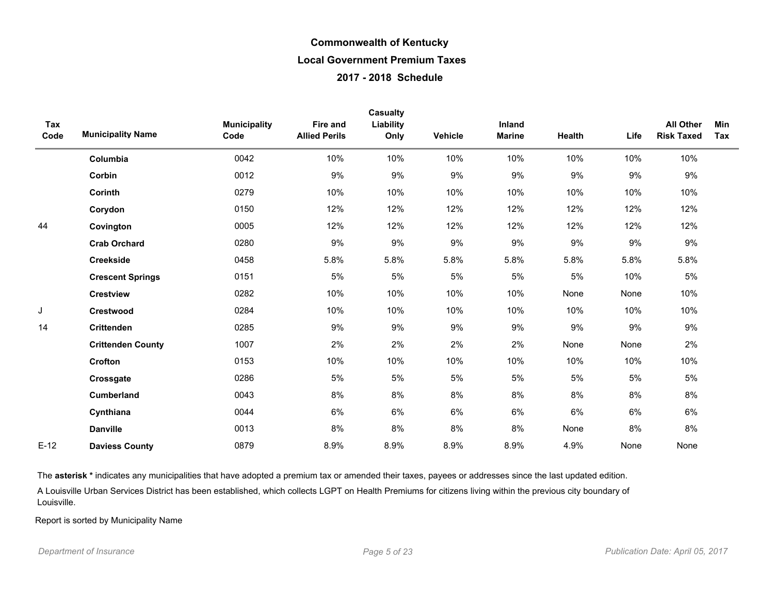|             |                          |                             |                                  | Casualty          |         |                         |        |       |                                       |            |
|-------------|--------------------------|-----------------------------|----------------------------------|-------------------|---------|-------------------------|--------|-------|---------------------------------------|------------|
| Tax<br>Code | <b>Municipality Name</b> | <b>Municipality</b><br>Code | Fire and<br><b>Allied Perils</b> | Liability<br>Only | Vehicle | Inland<br><b>Marine</b> | Health | Life  | <b>All Other</b><br><b>Risk Taxed</b> | Min<br>Tax |
|             | Columbia                 | 0042                        | 10%                              | 10%               | 10%     | 10%                     | 10%    | 10%   | 10%                                   |            |
|             | Corbin                   | 0012                        | 9%                               | 9%                | 9%      | 9%                      | $9\%$  | 9%    | 9%                                    |            |
|             | Corinth                  | 0279                        | 10%                              | 10%               | 10%     | 10%                     | 10%    | 10%   | 10%                                   |            |
|             | Corydon                  | 0150                        | 12%                              | 12%               | 12%     | 12%                     | 12%    | 12%   | 12%                                   |            |
| 44          | Covington                | 0005                        | 12%                              | 12%               | 12%     | 12%                     | 12%    | 12%   | 12%                                   |            |
|             | <b>Crab Orchard</b>      | 0280                        | 9%                               | 9%                | 9%      | 9%                      | 9%     | 9%    | 9%                                    |            |
|             | <b>Creekside</b>         | 0458                        | 5.8%                             | 5.8%              | 5.8%    | 5.8%                    | 5.8%   | 5.8%  | 5.8%                                  |            |
|             | <b>Crescent Springs</b>  | 0151                        | 5%                               | 5%                | 5%      | 5%                      | 5%     | 10%   | 5%                                    |            |
|             | <b>Crestview</b>         | 0282                        | 10%                              | 10%               | 10%     | 10%                     | None   | None  | 10%                                   |            |
| J           | <b>Crestwood</b>         | 0284                        | 10%                              | 10%               | 10%     | 10%                     | 10%    | 10%   | 10%                                   |            |
| 14          | <b>Crittenden</b>        | 0285                        | 9%                               | 9%                | 9%      | 9%                      | 9%     | 9%    | 9%                                    |            |
|             | <b>Crittenden County</b> | 1007                        | 2%                               | 2%                | 2%      | 2%                      | None   | None  | 2%                                    |            |
|             | Crofton                  | 0153                        | 10%                              | 10%               | 10%     | 10%                     | 10%    | 10%   | 10%                                   |            |
|             | Crossgate                | 0286                        | 5%                               | 5%                | 5%      | 5%                      | 5%     | $5\%$ | 5%                                    |            |
|             | <b>Cumberland</b>        | 0043                        | 8%                               | 8%                | 8%      | 8%                      | 8%     | 8%    | 8%                                    |            |
|             | Cynthiana                | 0044                        | 6%                               | 6%                | 6%      | 6%                      | 6%     | 6%    | 6%                                    |            |
|             | <b>Danville</b>          | 0013                        | 8%                               | 8%                | 8%      | 8%                      | None   | 8%    | $8\%$                                 |            |
| $E-12$      | <b>Daviess County</b>    | 0879                        | 8.9%                             | 8.9%              | 8.9%    | 8.9%                    | 4.9%   | None  | None                                  |            |

The asterisk \* indicates any municipalities that have adopted a premium tax or amended their taxes, payees or addresses since the last updated edition.

A Louisville Urban Services District has been established, which collects LGPT on Health Premiums for citizens living within the previous city boundary of Louisville.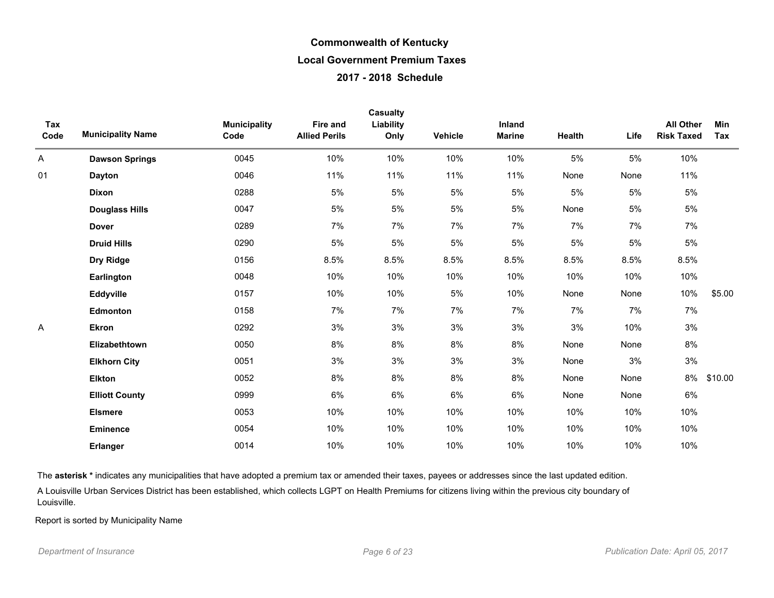| Tax<br>Code | <b>Municipality Name</b> | <b>Municipality</b><br>Code | Fire and<br><b>Allied Perils</b> | <b>Casualty</b><br>Liability<br>Only | Vehicle | Inland<br><b>Marine</b> | Health | Life  | <b>All Other</b><br><b>Risk Taxed</b> | Min<br>Tax |
|-------------|--------------------------|-----------------------------|----------------------------------|--------------------------------------|---------|-------------------------|--------|-------|---------------------------------------|------------|
| A           | <b>Dawson Springs</b>    | 0045                        | 10%                              | 10%                                  | 10%     | 10%                     | 5%     | 5%    | 10%                                   |            |
| 01          | <b>Dayton</b>            | 0046                        | 11%                              | 11%                                  | 11%     | 11%                     | None   | None  | 11%                                   |            |
|             | <b>Dixon</b>             | 0288                        | 5%                               | 5%                                   | 5%      | 5%                      | 5%     | 5%    | $5\%$                                 |            |
|             | <b>Douglass Hills</b>    | 0047                        | 5%                               | 5%                                   | 5%      | 5%                      | None   | 5%    | 5%                                    |            |
|             | <b>Dover</b>             | 0289                        | 7%                               | 7%                                   | 7%      | 7%                      | 7%     | 7%    | 7%                                    |            |
|             | <b>Druid Hills</b>       | 0290                        | 5%                               | $5\%$                                | 5%      | $5\%$                   | $5\%$  | $5\%$ | 5%                                    |            |
|             | Dry Ridge                | 0156                        | 8.5%                             | 8.5%                                 | 8.5%    | 8.5%                    | 8.5%   | 8.5%  | 8.5%                                  |            |
|             | Earlington               | 0048                        | 10%                              | 10%                                  | 10%     | 10%                     | 10%    | 10%   | 10%                                   |            |
|             | Eddyville                | 0157                        | 10%                              | 10%                                  | 5%      | 10%                     | None   | None  | 10%                                   | \$5.00     |
|             | Edmonton                 | 0158                        | 7%                               | 7%                                   | 7%      | 7%                      | 7%     | 7%    | 7%                                    |            |
| Α           | <b>Ekron</b>             | 0292                        | 3%                               | 3%                                   | 3%      | 3%                      | 3%     | 10%   | 3%                                    |            |
|             | Elizabethtown            | 0050                        | 8%                               | 8%                                   | 8%      | 8%                      | None   | None  | 8%                                    |            |
|             | <b>Elkhorn City</b>      | 0051                        | 3%                               | 3%                                   | 3%      | 3%                      | None   | 3%    | $3\%$                                 |            |
|             | <b>Elkton</b>            | 0052                        | 8%                               | 8%                                   | 8%      | 8%                      | None   | None  | 8%                                    | \$10.00    |
|             | <b>Elliott County</b>    | 0999                        | 6%                               | 6%                                   | 6%      | 6%                      | None   | None  | 6%                                    |            |
|             | <b>Elsmere</b>           | 0053                        | 10%                              | 10%                                  | 10%     | 10%                     | 10%    | 10%   | 10%                                   |            |
|             | <b>Eminence</b>          | 0054                        | 10%                              | 10%                                  | 10%     | 10%                     | 10%    | 10%   | 10%                                   |            |
|             | <b>Erlanger</b>          | 0014                        | 10%                              | 10%                                  | 10%     | 10%                     | 10%    | 10%   | 10%                                   |            |

The asterisk \* indicates any municipalities that have adopted a premium tax or amended their taxes, payees or addresses since the last updated edition.

A Louisville Urban Services District has been established, which collects LGPT on Health Premiums for citizens living within the previous city boundary of Louisville.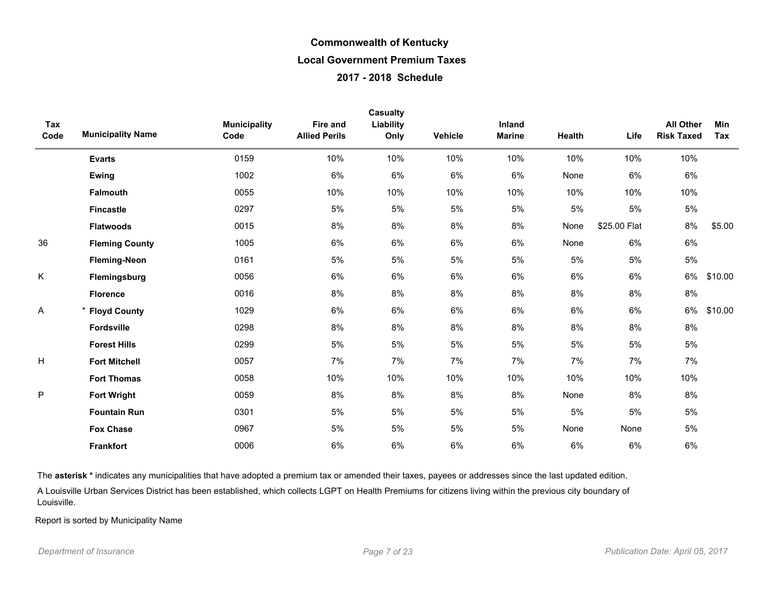| Tax  |                          | <b>Municipality</b> | <b>Fire and</b>      | Casualty<br>Liability |         | Inland        |               |              | <b>All Other</b>  | Min     |
|------|--------------------------|---------------------|----------------------|-----------------------|---------|---------------|---------------|--------------|-------------------|---------|
| Code | <b>Municipality Name</b> | Code                | <b>Allied Perils</b> | Only                  | Vehicle | <b>Marine</b> | <b>Health</b> | Life         | <b>Risk Taxed</b> | Tax     |
|      | <b>Evarts</b>            | 0159                | 10%                  | 10%                   | 10%     | 10%           | 10%           | 10%          | 10%               |         |
|      | Ewing                    | 1002                | 6%                   | 6%                    | 6%      | 6%            | None          | 6%           | 6%                |         |
|      | <b>Falmouth</b>          | 0055                | 10%                  | 10%                   | 10%     | 10%           | 10%           | 10%          | 10%               |         |
|      | <b>Fincastle</b>         | 0297                | 5%                   | 5%                    | 5%      | 5%            | $5\%$         | $5\%$        | $5\%$             |         |
|      | <b>Flatwoods</b>         | 0015                | 8%                   | 8%                    | 8%      | 8%            | None          | \$25.00 Flat | 8%                | \$5.00  |
| 36   | <b>Fleming County</b>    | 1005                | 6%                   | 6%                    | 6%      | 6%            | None          | 6%           | 6%                |         |
|      | <b>Fleming-Neon</b>      | 0161                | 5%                   | 5%                    | 5%      | 5%            | 5%            | $5\%$        | 5%                |         |
| K    | Flemingsburg             | 0056                | 6%                   | 6%                    | 6%      | 6%            | 6%            | 6%           | 6%                | \$10.00 |
|      | <b>Florence</b>          | 0016                | 8%                   | 8%                    | 8%      | 8%            | 8%            | 8%           | 8%                |         |
| Α    | * Floyd County           | 1029                | 6%                   | 6%                    | 6%      | 6%            | 6%            | 6%           | 6%                | \$10.00 |
|      | Fordsville               | 0298                | 8%                   | 8%                    | 8%      | $8\%$         | 8%            | 8%           | $8\%$             |         |
|      | <b>Forest Hills</b>      | 0299                | 5%                   | 5%                    | 5%      | 5%            | 5%            | $5\%$        | 5%                |         |
| H    | <b>Fort Mitchell</b>     | 0057                | 7%                   | 7%                    | 7%      | 7%            | 7%            | 7%           | 7%                |         |
|      | <b>Fort Thomas</b>       | 0058                | 10%                  | 10%                   | 10%     | 10%           | 10%           | 10%          | 10%               |         |
| P    | <b>Fort Wright</b>       | 0059                | 8%                   | 8%                    | 8%      | 8%            | None          | 8%           | 8%                |         |
|      | <b>Fountain Run</b>      | 0301                | 5%                   | 5%                    | 5%      | 5%            | 5%            | $5\%$        | 5%                |         |
|      | <b>Fox Chase</b>         | 0967                | 5%                   | 5%                    | 5%      | 5%            | None          | None         | $5\%$             |         |
|      | <b>Frankfort</b>         | 0006                | 6%                   | 6%                    | 6%      | 6%            | 6%            | 6%           | 6%                |         |

The asterisk \* indicates any municipalities that have adopted a premium tax or amended their taxes, payees or addresses since the last updated edition.

A Louisville Urban Services District has been established, which collects LGPT on Health Premiums for citizens living within the previous city boundary of Louisville.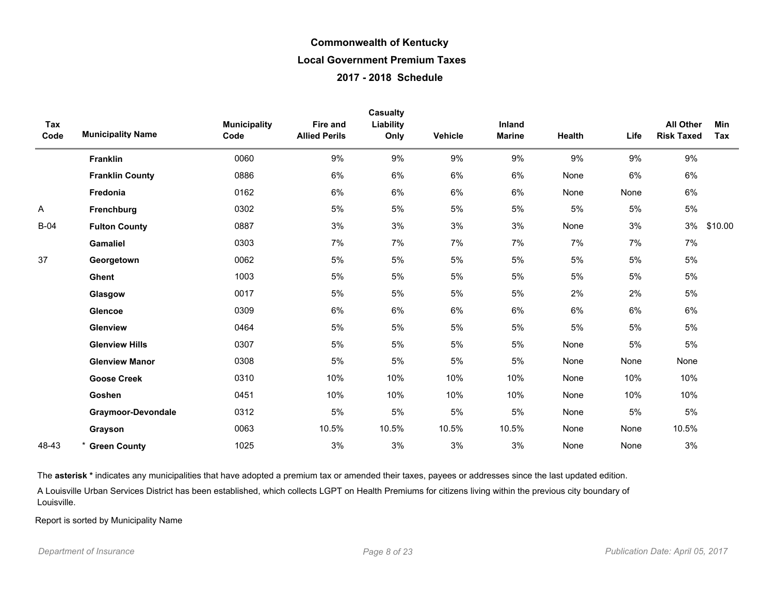| Tax<br>Code | <b>Municipality Name</b> | <b>Municipality</b><br>Code | <b>Fire and</b><br><b>Allied Perils</b> | <b>Casualty</b><br>Liability<br>Only | <b>Vehicle</b> | Inland<br><b>Marine</b> | Health | Life  | <b>All Other</b><br><b>Risk Taxed</b> | <b>Min</b><br>Tax |
|-------------|--------------------------|-----------------------------|-----------------------------------------|--------------------------------------|----------------|-------------------------|--------|-------|---------------------------------------|-------------------|
|             | <b>Franklin</b>          | 0060                        | 9%                                      | $9\%$                                | 9%             | 9%                      | 9%     | 9%    | 9%                                    |                   |
|             | <b>Franklin County</b>   | 0886                        | 6%                                      | $6\%$                                | 6%             | 6%                      | None   | 6%    | 6%                                    |                   |
|             | Fredonia                 | 0162                        | $6\%$                                   | 6%                                   | 6%             | 6%                      | None   | None  | 6%                                    |                   |
| Α           | Frenchburg               | 0302                        | 5%                                      | 5%                                   | 5%             | 5%                      | 5%     | 5%    | $5\%$                                 |                   |
| $B-04$      | <b>Fulton County</b>     | 0887                        | 3%                                      | 3%                                   | 3%             | 3%                      | None   | 3%    | 3%                                    | \$10.00           |
|             | <b>Gamaliel</b>          | 0303                        | 7%                                      | 7%                                   | 7%             | 7%                      | 7%     | 7%    | 7%                                    |                   |
| 37          | Georgetown               | 0062                        | 5%                                      | $5\%$                                | 5%             | 5%                      | 5%     | 5%    | 5%                                    |                   |
|             | Ghent                    | 1003                        | 5%                                      | 5%                                   | 5%             | 5%                      | 5%     | 5%    | 5%                                    |                   |
|             | Glasgow                  | 0017                        | $5%$                                    | 5%                                   | 5%             | 5%                      | 2%     | 2%    | $5\%$                                 |                   |
|             | Glencoe                  | 0309                        | 6%                                      | 6%                                   | 6%             | 6%                      | 6%     | 6%    | 6%                                    |                   |
|             | Glenview                 | 0464                        | 5%                                      | $5\%$                                | 5%             | 5%                      | 5%     | $5\%$ | 5%                                    |                   |
|             | <b>Glenview Hills</b>    | 0307                        | 5%                                      | 5%                                   | 5%             | 5%                      | None   | $5\%$ | $5\%$                                 |                   |
|             | <b>Glenview Manor</b>    | 0308                        | 5%                                      | 5%                                   | 5%             | 5%                      | None   | None  | None                                  |                   |
|             | <b>Goose Creek</b>       | 0310                        | 10%                                     | 10%                                  | 10%            | 10%                     | None   | 10%   | 10%                                   |                   |
|             | Goshen                   | 0451                        | 10%                                     | 10%                                  | 10%            | 10%                     | None   | 10%   | 10%                                   |                   |
|             | Graymoor-Devondale       | 0312                        | 5%                                      | $5\%$                                | 5%             | $5%$                    | None   | 5%    | $5\%$                                 |                   |
|             | Grayson                  | 0063                        | 10.5%                                   | 10.5%                                | 10.5%          | 10.5%                   | None   | None  | 10.5%                                 |                   |
| 48-43       | <b>Green County</b>      | 1025                        | 3%                                      | 3%                                   | 3%             | 3%                      | None   | None  | 3%                                    |                   |

The asterisk \* indicates any municipalities that have adopted a premium tax or amended their taxes, payees or addresses since the last updated edition.

A Louisville Urban Services District has been established, which collects LGPT on Health Premiums for citizens living within the previous city boundary of Louisville.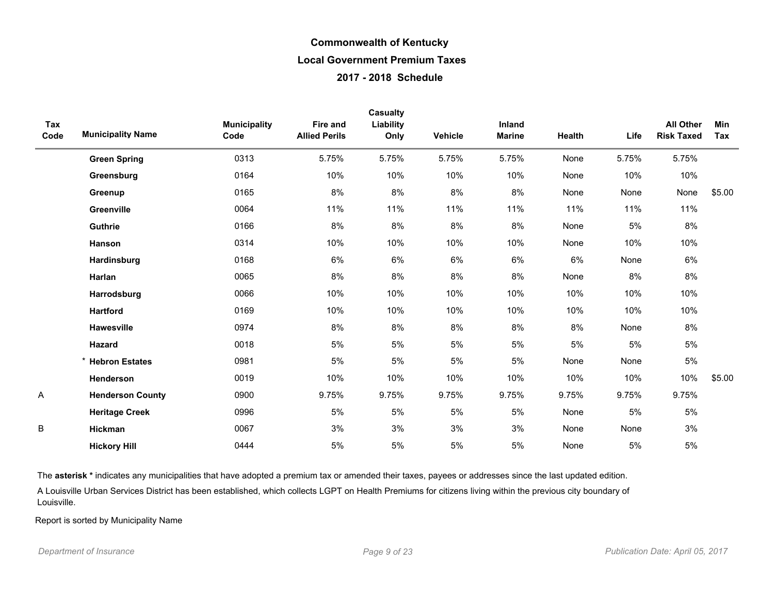|             |                          |                             |                                         | <b>Casualty</b>   |                |                         |        |       |                                       |            |
|-------------|--------------------------|-----------------------------|-----------------------------------------|-------------------|----------------|-------------------------|--------|-------|---------------------------------------|------------|
| Tax<br>Code | <b>Municipality Name</b> | <b>Municipality</b><br>Code | <b>Fire and</b><br><b>Allied Perils</b> | Liability<br>Only | <b>Vehicle</b> | Inland<br><b>Marine</b> | Health | Life  | <b>All Other</b><br><b>Risk Taxed</b> | Min<br>Tax |
|             | <b>Green Spring</b>      | 0313                        | 5.75%                                   | 5.75%             | 5.75%          | 5.75%                   | None   | 5.75% | 5.75%                                 |            |
|             | Greensburg               | 0164                        | 10%                                     | 10%               | 10%            | 10%                     | None   | 10%   | 10%                                   |            |
|             | Greenup                  | 0165                        | 8%                                      | 8%                | 8%             | 8%                      | None   | None  | None                                  | \$5.00     |
|             | Greenville               | 0064                        | 11%                                     | 11%               | 11%            | 11%                     | 11%    | 11%   | 11%                                   |            |
|             | Guthrie                  | 0166                        | 8%                                      | 8%                | 8%             | 8%                      | None   | $5\%$ | 8%                                    |            |
|             | Hanson                   | 0314                        | 10%                                     | 10%               | 10%            | 10%                     | None   | 10%   | 10%                                   |            |
|             | Hardinsburg              | 0168                        | 6%                                      | 6%                | 6%             | 6%                      | 6%     | None  | 6%                                    |            |
|             | Harlan                   | 0065                        | 8%                                      | 8%                | 8%             | 8%                      | None   | 8%    | 8%                                    |            |
|             | Harrodsburg              | 0066                        | 10%                                     | 10%               | 10%            | 10%                     | 10%    | 10%   | 10%                                   |            |
|             | <b>Hartford</b>          | 0169                        | 10%                                     | 10%               | 10%            | 10%                     | 10%    | 10%   | 10%                                   |            |
|             | <b>Hawesville</b>        | 0974                        | 8%                                      | 8%                | 8%             | 8%                      | 8%     | None  | 8%                                    |            |
|             | Hazard                   | 0018                        | 5%                                      | 5%                | 5%             | 5%                      | 5%     | $5\%$ | $5\%$                                 |            |
|             | * Hebron Estates         | 0981                        | 5%                                      | 5%                | 5%             | 5%                      | None   | None  | $5\%$                                 |            |
|             | Henderson                | 0019                        | 10%                                     | 10%               | 10%            | 10%                     | 10%    | 10%   | 10%                                   | \$5.00     |
| Α           | <b>Henderson County</b>  | 0900                        | 9.75%                                   | 9.75%             | 9.75%          | 9.75%                   | 9.75%  | 9.75% | 9.75%                                 |            |
|             | <b>Heritage Creek</b>    | 0996                        | 5%                                      | 5%                | 5%             | 5%                      | None   | 5%    | 5%                                    |            |
| В           | Hickman                  | 0067                        | 3%                                      | 3%                | 3%             | 3%                      | None   | None  | 3%                                    |            |
|             | <b>Hickory Hill</b>      | 0444                        | 5%                                      | 5%                | 5%             | 5%                      | None   | 5%    | $5\%$                                 |            |

The asterisk \* indicates any municipalities that have adopted a premium tax or amended their taxes, payees or addresses since the last updated edition.

A Louisville Urban Services District has been established, which collects LGPT on Health Premiums for citizens living within the previous city boundary of Louisville.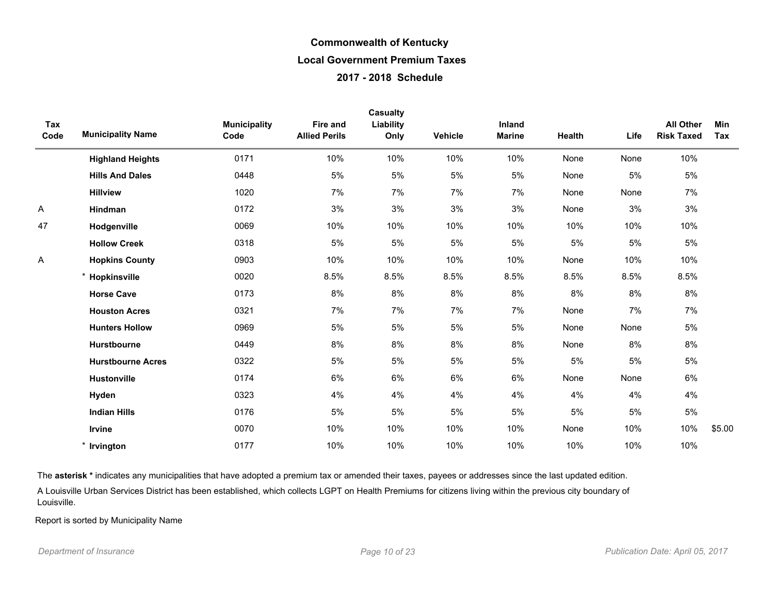|             |                          |                             |                                         | Casualty          |         |                         |        |      |                                       |            |
|-------------|--------------------------|-----------------------------|-----------------------------------------|-------------------|---------|-------------------------|--------|------|---------------------------------------|------------|
| Tax<br>Code | <b>Municipality Name</b> | <b>Municipality</b><br>Code | <b>Fire and</b><br><b>Allied Perils</b> | Liability<br>Only | Vehicle | Inland<br><b>Marine</b> | Health | Life | <b>All Other</b><br><b>Risk Taxed</b> | Min<br>Tax |
|             | <b>Highland Heights</b>  | 0171                        | 10%                                     | 10%               | 10%     | 10%                     | None   | None | 10%                                   |            |
|             | <b>Hills And Dales</b>   | 0448                        | 5%                                      | 5%                | 5%      | 5%                      | None   | 5%   | 5%                                    |            |
|             | <b>Hillview</b>          | 1020                        | 7%                                      | 7%                | 7%      | 7%                      | None   | None | 7%                                    |            |
| Α           | Hindman                  | 0172                        | 3%                                      | 3%                | 3%      | 3%                      | None   | 3%   | $3%$                                  |            |
| 47          | Hodgenville              | 0069                        | 10%                                     | 10%               | 10%     | 10%                     | 10%    | 10%  | 10%                                   |            |
|             | <b>Hollow Creek</b>      | 0318                        | 5%                                      | 5%                | 5%      | 5%                      | 5%     | 5%   | $5\%$                                 |            |
| Α           | <b>Hopkins County</b>    | 0903                        | 10%                                     | 10%               | 10%     | 10%                     | None   | 10%  | 10%                                   |            |
|             | * Hopkinsville           | 0020                        | 8.5%                                    | 8.5%              | 8.5%    | 8.5%                    | 8.5%   | 8.5% | 8.5%                                  |            |
|             | <b>Horse Cave</b>        | 0173                        | 8%                                      | 8%                | 8%      | 8%                      | 8%     | 8%   | 8%                                    |            |
|             | <b>Houston Acres</b>     | 0321                        | 7%                                      | 7%                | 7%      | 7%                      | None   | 7%   | 7%                                    |            |
|             | <b>Hunters Hollow</b>    | 0969                        | 5%                                      | 5%                | 5%      | $5%$                    | None   | None | $5\%$                                 |            |
|             | Hurstbourne              | 0449                        | 8%                                      | 8%                | 8%      | 8%                      | None   | 8%   | 8%                                    |            |
|             | <b>Hurstbourne Acres</b> | 0322                        | 5%                                      | 5%                | 5%      | 5%                      | 5%     | 5%   | $5\%$                                 |            |
|             | <b>Hustonville</b>       | 0174                        | 6%                                      | 6%                | 6%      | 6%                      | None   | None | 6%                                    |            |
|             | Hyden                    | 0323                        | 4%                                      | 4%                | 4%      | 4%                      | 4%     | 4%   | 4%                                    |            |
|             | <b>Indian Hills</b>      | 0176                        | 5%                                      | 5%                | 5%      | 5%                      | 5%     | 5%   | $5\%$                                 |            |
|             | Irvine                   | 0070                        | 10%                                     | 10%               | 10%     | 10%                     | None   | 10%  | 10%                                   | \$5.00     |
|             | * Irvington              | 0177                        | 10%                                     | 10%               | 10%     | 10%                     | 10%    | 10%  | 10%                                   |            |

The asterisk \* indicates any municipalities that have adopted a premium tax or amended their taxes, payees or addresses since the last updated edition.

A Louisville Urban Services District has been established, which collects LGPT on Health Premiums for citizens living within the previous city boundary of Louisville.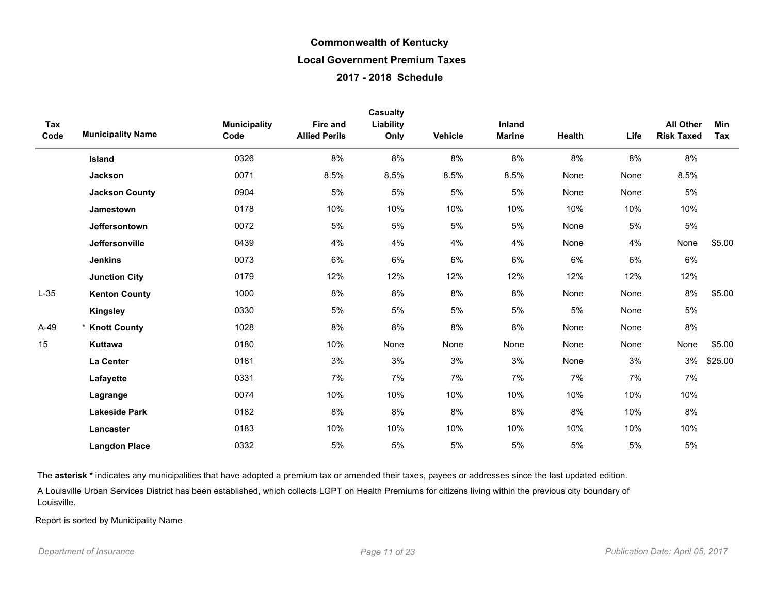| Tax<br>Code | <b>Municipality Name</b> | <b>Municipality</b><br>Code | Fire and<br><b>Allied Perils</b> | <b>Casualty</b><br>Liability<br>Only | Vehicle | Inland<br><b>Marine</b> | Health | Life  | <b>All Other</b><br><b>Risk Taxed</b> | Min<br>Tax |
|-------------|--------------------------|-----------------------------|----------------------------------|--------------------------------------|---------|-------------------------|--------|-------|---------------------------------------|------------|
|             | Island                   | 0326                        | 8%                               | 8%                                   | 8%      | 8%                      | 8%     | 8%    | 8%                                    |            |
|             | Jackson                  | 0071                        | 8.5%                             | 8.5%                                 | 8.5%    | 8.5%                    | None   | None  | 8.5%                                  |            |
|             | <b>Jackson County</b>    | 0904                        | 5%                               | $5\%$                                | 5%      | 5%                      | None   | None  | $5\%$                                 |            |
|             | Jamestown                | 0178                        | 10%                              | 10%                                  | 10%     | 10%                     | 10%    | 10%   | 10%                                   |            |
|             | <b>Jeffersontown</b>     | 0072                        | 5%                               | 5%                                   | 5%      | 5%                      | None   | $5\%$ | $5\%$                                 |            |
|             | <b>Jeffersonville</b>    | 0439                        | 4%                               | 4%                                   | 4%      | 4%                      | None   | 4%    | None                                  | \$5.00     |
|             | <b>Jenkins</b>           | 0073                        | 6%                               | 6%                                   | 6%      | 6%                      | 6%     | 6%    | 6%                                    |            |
|             | <b>Junction City</b>     | 0179                        | 12%                              | 12%                                  | 12%     | 12%                     | 12%    | 12%   | 12%                                   |            |
| $L-35$      | <b>Kenton County</b>     | 1000                        | 8%                               | 8%                                   | 8%      | 8%                      | None   | None  | 8%                                    | \$5.00     |
|             | <b>Kingsley</b>          | 0330                        | 5%                               | 5%                                   | 5%      | 5%                      | 5%     | None  | 5%                                    |            |
| $A-49$      | <b>Knott County</b>      | 1028                        | 8%                               | $8\%$                                | 8%      | 8%                      | None   | None  | 8%                                    |            |
| 15          | <b>Kuttawa</b>           | 0180                        | 10%                              | None                                 | None    | None                    | None   | None  | None                                  | \$5.00     |
|             | La Center                | 0181                        | 3%                               | 3%                                   | 3%      | 3%                      | None   | 3%    | 3%                                    | \$25.00    |
|             | Lafayette                | 0331                        | 7%                               | 7%                                   | 7%      | 7%                      | 7%     | 7%    | 7%                                    |            |
|             | Lagrange                 | 0074                        | 10%                              | 10%                                  | 10%     | 10%                     | 10%    | 10%   | 10%                                   |            |
|             | <b>Lakeside Park</b>     | 0182                        | 8%                               | 8%                                   | 8%      | 8%                      | 8%     | 10%   | 8%                                    |            |
|             | Lancaster                | 0183                        | 10%                              | 10%                                  | 10%     | 10%                     | 10%    | 10%   | 10%                                   |            |
|             | <b>Langdon Place</b>     | 0332                        | 5%                               | 5%                                   | 5%      | 5%                      | 5%     | 5%    | 5%                                    |            |

The asterisk \* indicates any municipalities that have adopted a premium tax or amended their taxes, payees or addresses since the last updated edition.

A Louisville Urban Services District has been established, which collects LGPT on Health Premiums for citizens living within the previous city boundary of Louisville.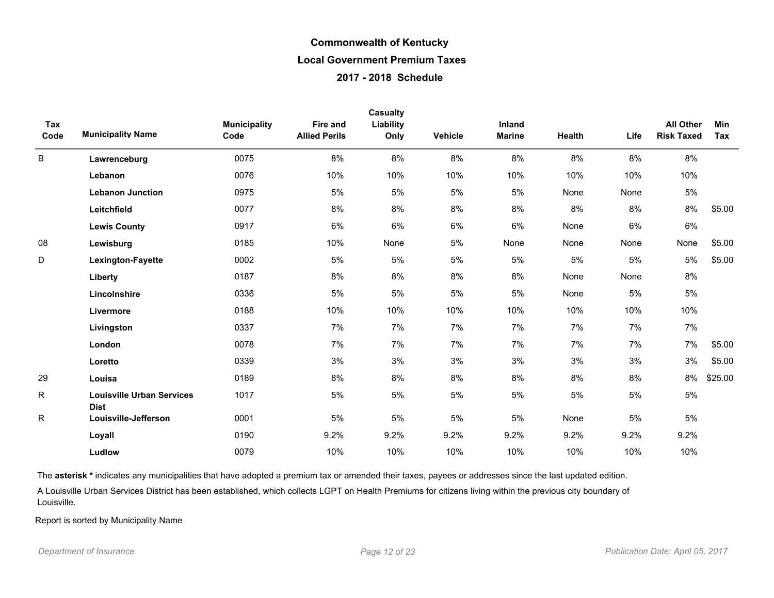|             |                                                 |                             |                                         | Casualty          |         |                         |        |       |                                       |                   |
|-------------|-------------------------------------------------|-----------------------------|-----------------------------------------|-------------------|---------|-------------------------|--------|-------|---------------------------------------|-------------------|
| Tax<br>Code | <b>Municipality Name</b>                        | <b>Municipality</b><br>Code | <b>Fire and</b><br><b>Allied Perils</b> | Liability<br>Only | Vehicle | Inland<br><b>Marine</b> | Health | Life  | <b>All Other</b><br><b>Risk Taxed</b> | <b>Min</b><br>Tax |
| B           | Lawrenceburg                                    | 0075                        | 8%                                      | 8%                | 8%      | 8%                      | 8%     | 8%    | 8%                                    |                   |
|             | Lebanon                                         | 0076                        | 10%                                     | 10%               | 10%     | 10%                     | 10%    | 10%   | 10%                                   |                   |
|             | <b>Lebanon Junction</b>                         | 0975                        | 5%                                      | 5%                | 5%      | 5%                      | None   | None  | 5%                                    |                   |
|             | Leitchfield                                     | 0077                        | 8%                                      | 8%                | 8%      | 8%                      | 8%     | 8%    | 8%                                    | \$5.00            |
|             | <b>Lewis County</b>                             | 0917                        | 6%                                      | 6%                | 6%      | 6%                      | None   | 6%    | 6%                                    |                   |
| 08          | Lewisburg                                       | 0185                        | 10%                                     | None              | 5%      | None                    | None   | None  | None                                  | \$5.00            |
| D           | Lexington-Fayette                               | 0002                        | 5%                                      | 5%                | 5%      | 5%                      | 5%     | 5%    | 5%                                    | \$5.00            |
|             | Liberty                                         | 0187                        | 8%                                      | 8%                | 8%      | 8%                      | None   | None  | 8%                                    |                   |
|             | Lincolnshire                                    | 0336                        | 5%                                      | 5%                | 5%      | 5%                      | None   | 5%    | 5%                                    |                   |
|             | Livermore                                       | 0188                        | 10%                                     | 10%               | 10%     | 10%                     | 10%    | 10%   | 10%                                   |                   |
|             | Livingston                                      | 0337                        | 7%                                      | 7%                | 7%      | 7%                      | 7%     | 7%    | 7%                                    |                   |
|             | London                                          | 0078                        | 7%                                      | 7%                | 7%      | 7%                      | 7%     | 7%    | 7%                                    | \$5.00            |
|             | Loretto                                         | 0339                        | 3%                                      | 3%                | 3%      | 3%                      | 3%     | 3%    | 3%                                    | \$5.00            |
| 29          | Louisa                                          | 0189                        | 8%                                      | 8%                | 8%      | 8%                      | 8%     | 8%    | 8%                                    | \$25.00           |
| R           | <b>Louisville Urban Services</b><br><b>Dist</b> | 1017                        | 5%                                      | 5%                | 5%      | 5%                      | 5%     | $5\%$ | 5%                                    |                   |
| R.          | Louisville-Jefferson                            | 0001                        | 5%                                      | $5\%$             | 5%      | $5\%$                   | None   | $5\%$ | 5%                                    |                   |
|             | Loyall                                          | 0190                        | 9.2%                                    | 9.2%              | 9.2%    | 9.2%                    | 9.2%   | 9.2%  | 9.2%                                  |                   |
|             | Ludlow                                          | 0079                        | 10%                                     | 10%               | 10%     | 10%                     | 10%    | 10%   | 10%                                   |                   |

The asterisk \* indicates any municipalities that have adopted a premium tax or amended their taxes, payees or addresses since the last updated edition.

A Louisville Urban Services District has been established, which collects LGPT on Health Premiums for citizens living within the previous city boundary of Louisville.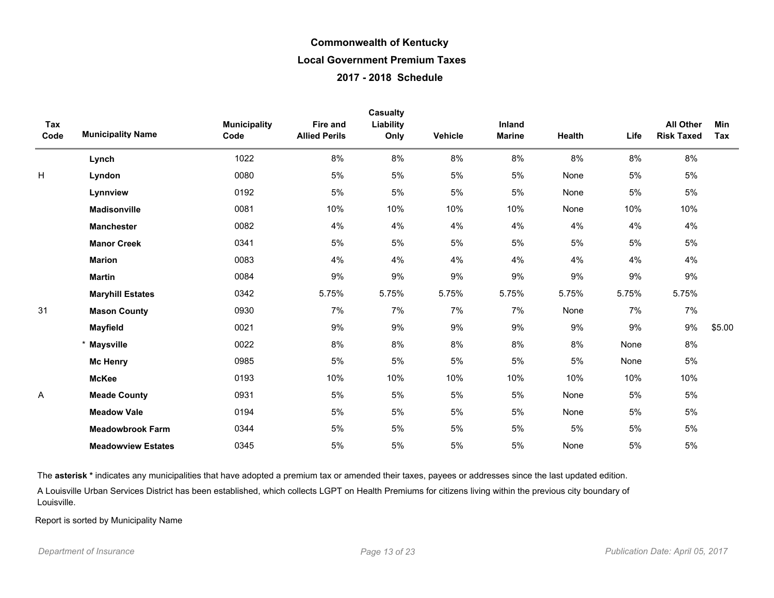| Tax<br>Code | <b>Municipality Name</b>  | <b>Municipality</b><br>Code | <b>Fire and</b><br><b>Allied Perils</b> | Casualty<br>Liability<br>Only | Vehicle | <b>Inland</b><br><b>Marine</b> | Health | Life  | <b>All Other</b><br><b>Risk Taxed</b> | Min<br>Tax |
|-------------|---------------------------|-----------------------------|-----------------------------------------|-------------------------------|---------|--------------------------------|--------|-------|---------------------------------------|------------|
|             | Lynch                     | 1022                        | 8%                                      | 8%                            | 8%      | 8%                             | 8%     | 8%    | 8%                                    |            |
| H           | Lyndon                    | 0080                        | 5%                                      | 5%                            | $5%$    | $5%$                           | None   | $5\%$ | $5\%$                                 |            |
|             | Lynnview                  | 0192                        | 5%                                      | 5%                            | $5%$    | 5%                             | None   | 5%    | $5\%$                                 |            |
|             | <b>Madisonville</b>       | 0081                        | 10%                                     | 10%                           | 10%     | 10%                            | None   | 10%   | 10%                                   |            |
|             | <b>Manchester</b>         | 0082                        | 4%                                      | 4%                            | 4%      | 4%                             | 4%     | 4%    | 4%                                    |            |
|             | <b>Manor Creek</b>        | 0341                        | 5%                                      | 5%                            | 5%      | 5%                             | 5%     | 5%    | 5%                                    |            |
|             | <b>Marion</b>             | 0083                        | 4%                                      | 4%                            | 4%      | 4%                             | 4%     | 4%    | 4%                                    |            |
|             | <b>Martin</b>             | 0084                        | 9%                                      | 9%                            | 9%      | 9%                             | 9%     | 9%    | 9%                                    |            |
|             | <b>Maryhill Estates</b>   | 0342                        | 5.75%                                   | 5.75%                         | 5.75%   | 5.75%                          | 5.75%  | 5.75% | 5.75%                                 |            |
| 31          | <b>Mason County</b>       | 0930                        | 7%                                      | 7%                            | 7%      | 7%                             | None   | 7%    | 7%                                    |            |
|             | <b>Mayfield</b>           | 0021                        | 9%                                      | 9%                            | 9%      | 9%                             | 9%     | 9%    | 9%                                    | \$5.00     |
|             | <b>Maysville</b>          | 0022                        | 8%                                      | 8%                            | 8%      | 8%                             | 8%     | None  | $8\%$                                 |            |
|             | <b>Mc Henry</b>           | 0985                        | 5%                                      | 5%                            | $5%$    | 5%                             | 5%     | None  | $5\%$                                 |            |
|             | <b>McKee</b>              | 0193                        | 10%                                     | 10%                           | 10%     | 10%                            | 10%    | 10%   | 10%                                   |            |
| A           | <b>Meade County</b>       | 0931                        | 5%                                      | 5%                            | 5%      | 5%                             | None   | 5%    | 5%                                    |            |
|             | <b>Meadow Vale</b>        | 0194                        | 5%                                      | 5%                            | 5%      | 5%                             | None   | 5%    | $5\%$                                 |            |
|             | <b>Meadowbrook Farm</b>   | 0344                        | 5%                                      | 5%                            | 5%      | 5%                             | 5%     | 5%    | $5\%$                                 |            |
|             | <b>Meadowview Estates</b> | 0345                        | 5%                                      | 5%                            | 5%      | 5%                             | None   | 5%    | $5\%$                                 |            |

The asterisk \* indicates any municipalities that have adopted a premium tax or amended their taxes, payees or addresses since the last updated edition.

A Louisville Urban Services District has been established, which collects LGPT on Health Premiums for citizens living within the previous city boundary of Louisville.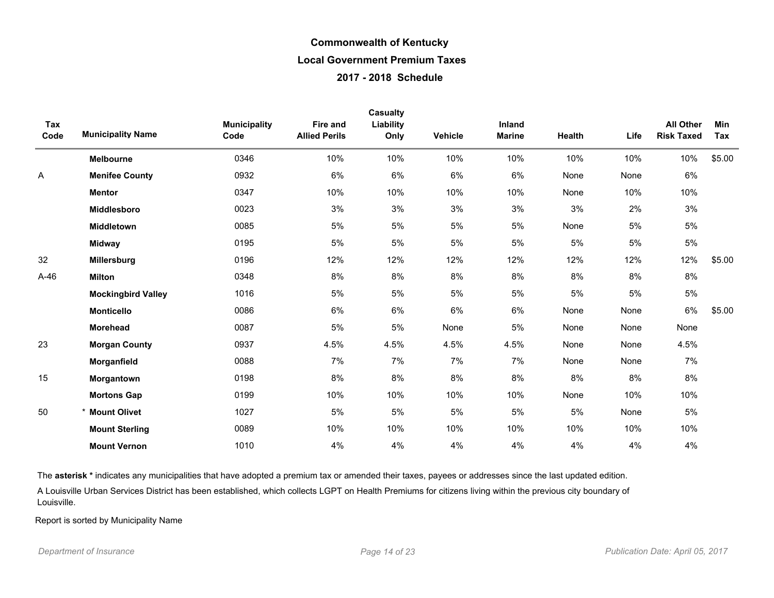| Tax<br>Code | <b>Municipality Name</b>  | <b>Municipality</b><br>Code | <b>Fire and</b><br><b>Allied Perils</b> | <b>Casualty</b><br>Liability<br>Only | Vehicle | <b>Inland</b><br><b>Marine</b> | <b>Health</b> | Life | <b>All Other</b><br><b>Risk Taxed</b> | Min<br>Tax |
|-------------|---------------------------|-----------------------------|-----------------------------------------|--------------------------------------|---------|--------------------------------|---------------|------|---------------------------------------|------------|
|             | Melbourne                 | 0346                        | 10%                                     | 10%                                  | 10%     | 10%                            | 10%           | 10%  | 10%                                   | \$5.00     |
| A           | <b>Menifee County</b>     | 0932                        | 6%                                      | 6%                                   | 6%      | 6%                             | None          | None | 6%                                    |            |
|             | <b>Mentor</b>             | 0347                        | 10%                                     | 10%                                  | 10%     | 10%                            | None          | 10%  | 10%                                   |            |
|             | Middlesboro               | 0023                        | 3%                                      | 3%                                   | 3%      | 3%                             | 3%            | 2%   | 3%                                    |            |
|             | <b>Middletown</b>         | 0085                        | 5%                                      | 5%                                   | 5%      | 5%                             | None          | 5%   | 5%                                    |            |
|             | <b>Midway</b>             | 0195                        | 5%                                      | 5%                                   | 5%      | 5%                             | 5%            | 5%   | 5%                                    |            |
| 32          | Millersburg               | 0196                        | 12%                                     | 12%                                  | 12%     | 12%                            | 12%           | 12%  | 12%                                   | \$5.00     |
| A-46        | <b>Milton</b>             | 0348                        | 8%                                      | 8%                                   | 8%      | 8%                             | 8%            | 8%   | 8%                                    |            |
|             | <b>Mockingbird Valley</b> | 1016                        | 5%                                      | 5%                                   | 5%      | 5%                             | $5%$          | 5%   | 5%                                    |            |
|             | <b>Monticello</b>         | 0086                        | 6%                                      | 6%                                   | 6%      | 6%                             | None          | None | $6\%$                                 | \$5.00     |
|             | <b>Morehead</b>           | 0087                        | 5%                                      | 5%                                   | None    | 5%                             | None          | None | None                                  |            |
| 23          | <b>Morgan County</b>      | 0937                        | 4.5%                                    | 4.5%                                 | 4.5%    | 4.5%                           | None          | None | 4.5%                                  |            |
|             | Morganfield               | 0088                        | 7%                                      | 7%                                   | 7%      | 7%                             | None          | None | 7%                                    |            |
| 15          | Morgantown                | 0198                        | 8%                                      | 8%                                   | 8%      | 8%                             | 8%            | 8%   | 8%                                    |            |
|             | <b>Mortons Gap</b>        | 0199                        | 10%                                     | 10%                                  | 10%     | 10%                            | None          | 10%  | 10%                                   |            |
| 50          | * Mount Olivet            | 1027                        | 5%                                      | 5%                                   | 5%      | 5%                             | 5%            | None | 5%                                    |            |
|             | <b>Mount Sterling</b>     | 0089                        | 10%                                     | 10%                                  | 10%     | 10%                            | 10%           | 10%  | 10%                                   |            |
|             | <b>Mount Vernon</b>       | 1010                        | 4%                                      | 4%                                   | 4%      | 4%                             | 4%            | 4%   | 4%                                    |            |

The asterisk \* indicates any municipalities that have adopted a premium tax or amended their taxes, payees or addresses since the last updated edition.

A Louisville Urban Services District has been established, which collects LGPT on Health Premiums for citizens living within the previous city boundary of Louisville.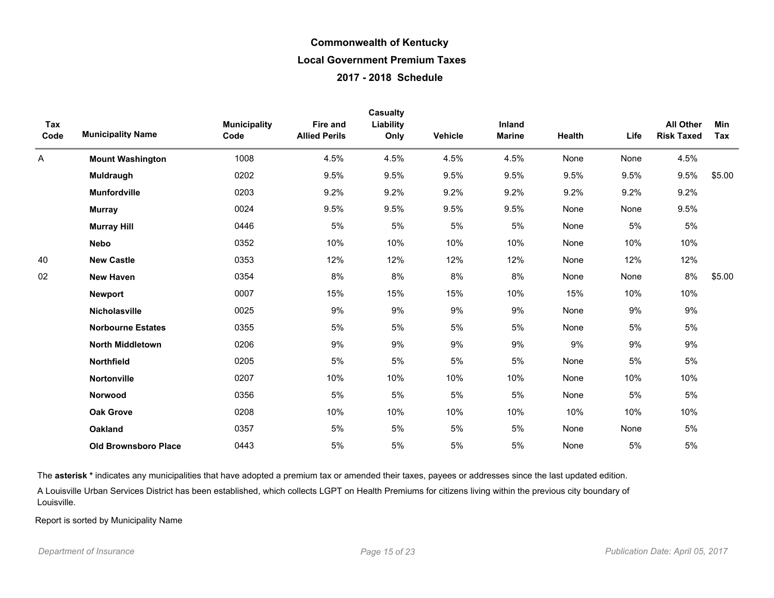| Tax<br>Code | <b>Municipality Name</b>    | <b>Municipality</b><br>Code | Fire and<br><b>Allied Perils</b> | Casualty<br>Liability<br>Only | <b>Vehicle</b> | Inland<br><b>Marine</b> | Health | Life | <b>All Other</b><br><b>Risk Taxed</b> | Min<br>Tax |
|-------------|-----------------------------|-----------------------------|----------------------------------|-------------------------------|----------------|-------------------------|--------|------|---------------------------------------|------------|
| A           | <b>Mount Washington</b>     | 1008                        | 4.5%                             | 4.5%                          | 4.5%           | 4.5%                    | None   | None | 4.5%                                  |            |
|             | <b>Muldraugh</b>            | 0202                        | 9.5%                             | 9.5%                          | 9.5%           | 9.5%                    | 9.5%   | 9.5% | 9.5%                                  | \$5.00     |
|             | <b>Munfordville</b>         | 0203                        | 9.2%                             | 9.2%                          | 9.2%           | 9.2%                    | 9.2%   | 9.2% | 9.2%                                  |            |
|             | <b>Murray</b>               | 0024                        | 9.5%                             | 9.5%                          | 9.5%           | 9.5%                    | None   | None | 9.5%                                  |            |
|             | <b>Murray Hill</b>          | 0446                        | 5%                               | 5%                            | 5%             | 5%                      | None   | 5%   | 5%                                    |            |
|             | <b>Nebo</b>                 | 0352                        | 10%                              | 10%                           | 10%            | 10%                     | None   | 10%  | 10%                                   |            |
| 40          | <b>New Castle</b>           | 0353                        | 12%                              | 12%                           | 12%            | 12%                     | None   | 12%  | 12%                                   |            |
| 02          | <b>New Haven</b>            | 0354                        | 8%                               | 8%                            | 8%             | 8%                      | None   | None | 8%                                    | \$5.00     |
|             | <b>Newport</b>              | 0007                        | 15%                              | 15%                           | 15%            | 10%                     | 15%    | 10%  | 10%                                   |            |
|             | Nicholasville               | 0025                        | 9%                               | 9%                            | 9%             | 9%                      | None   | 9%   | 9%                                    |            |
|             | <b>Norbourne Estates</b>    | 0355                        | 5%                               | 5%                            | 5%             | 5%                      | None   | 5%   | 5%                                    |            |
|             | <b>North Middletown</b>     | 0206                        | 9%                               | 9%                            | 9%             | 9%                      | 9%     | 9%   | 9%                                    |            |
|             | Northfield                  | 0205                        | 5%                               | 5%                            | 5%             | 5%                      | None   | 5%   | $5\%$                                 |            |
|             | Nortonville                 | 0207                        | 10%                              | 10%                           | 10%            | 10%                     | None   | 10%  | 10%                                   |            |
|             | Norwood                     | 0356                        | 5%                               | 5%                            | 5%             | 5%                      | None   | 5%   | 5%                                    |            |
|             | <b>Oak Grove</b>            | 0208                        | 10%                              | 10%                           | 10%            | 10%                     | 10%    | 10%  | 10%                                   |            |
|             | Oakland                     | 0357                        | 5%                               | 5%                            | 5%             | 5%                      | None   | None | 5%                                    |            |
|             | <b>Old Brownsboro Place</b> | 0443                        | 5%                               | 5%                            | 5%             | 5%                      | None   | 5%   | 5%                                    |            |

The asterisk \* indicates any municipalities that have adopted a premium tax or amended their taxes, payees or addresses since the last updated edition.

A Louisville Urban Services District has been established, which collects LGPT on Health Premiums for citizens living within the previous city boundary of Louisville.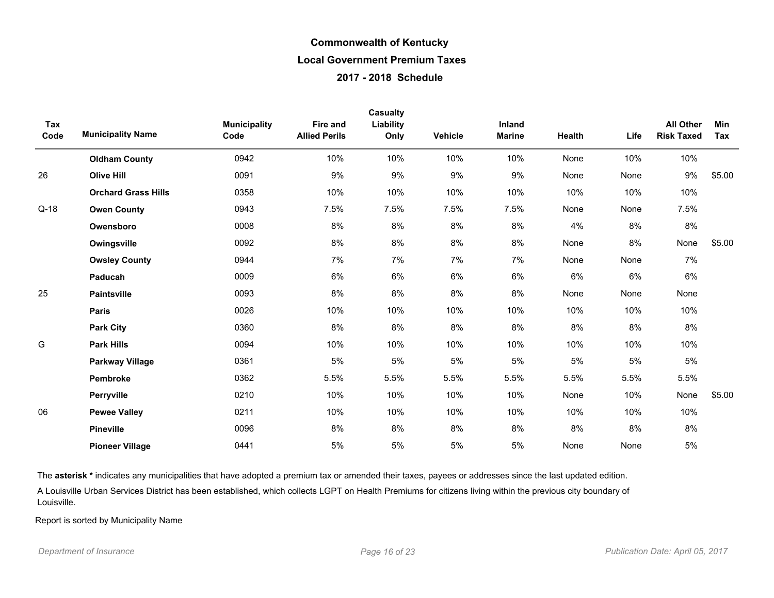| Tax<br>Code | <b>Municipality Name</b>   | <b>Municipality</b><br>Code | Fire and<br><b>Allied Perils</b> | <b>Casualty</b><br>Liability<br>Only | Vehicle | Inland<br><b>Marine</b> | Health | Life | <b>All Other</b><br><b>Risk Taxed</b> | Min<br>Tax |
|-------------|----------------------------|-----------------------------|----------------------------------|--------------------------------------|---------|-------------------------|--------|------|---------------------------------------|------------|
|             | <b>Oldham County</b>       | 0942                        | 10%                              | 10%                                  | 10%     | 10%                     | None   | 10%  | 10%                                   |            |
| 26          | <b>Olive Hill</b>          | 0091                        | 9%                               | 9%                                   | 9%      | 9%                      | None   | None | 9%                                    | \$5.00     |
|             | <b>Orchard Grass Hills</b> | 0358                        | 10%                              | 10%                                  | 10%     | 10%                     | 10%    | 10%  | 10%                                   |            |
| $Q-18$      | <b>Owen County</b>         | 0943                        | 7.5%                             | 7.5%                                 | 7.5%    | 7.5%                    | None   | None | 7.5%                                  |            |
|             | Owensboro                  | 0008                        | 8%                               | 8%                                   | 8%      | 8%                      | 4%     | 8%   | 8%                                    |            |
|             | Owingsville                | 0092                        | 8%                               | 8%                                   | 8%      | 8%                      | None   | 8%   | None                                  | \$5.00     |
|             | <b>Owsley County</b>       | 0944                        | 7%                               | 7%                                   | 7%      | 7%                      | None   | None | 7%                                    |            |
|             | Paducah                    | 0009                        | 6%                               | 6%                                   | 6%      | 6%                      | 6%     | 6%   | 6%                                    |            |
| 25          | <b>Paintsville</b>         | 0093                        | 8%                               | 8%                                   | 8%      | 8%                      | None   | None | None                                  |            |
|             | <b>Paris</b>               | 0026                        | 10%                              | 10%                                  | 10%     | 10%                     | 10%    | 10%  | 10%                                   |            |
|             | <b>Park City</b>           | 0360                        | 8%                               | 8%                                   | 8%      | 8%                      | 8%     | 8%   | 8%                                    |            |
| G           | <b>Park Hills</b>          | 0094                        | 10%                              | 10%                                  | 10%     | 10%                     | 10%    | 10%  | 10%                                   |            |
|             | <b>Parkway Village</b>     | 0361                        | 5%                               | 5%                                   | 5%      | 5%                      | 5%     | 5%   | 5%                                    |            |
|             | Pembroke                   | 0362                        | 5.5%                             | 5.5%                                 | 5.5%    | 5.5%                    | 5.5%   | 5.5% | 5.5%                                  |            |
|             | Perryville                 | 0210                        | 10%                              | 10%                                  | 10%     | 10%                     | None   | 10%  | None                                  | \$5.00     |
| 06          | <b>Pewee Valley</b>        | 0211                        | 10%                              | 10%                                  | 10%     | 10%                     | 10%    | 10%  | 10%                                   |            |
|             | <b>Pineville</b>           | 0096                        | 8%                               | 8%                                   | 8%      | 8%                      | 8%     | 8%   | 8%                                    |            |
|             | <b>Pioneer Village</b>     | 0441                        | 5%                               | 5%                                   | 5%      | 5%                      | None   | None | 5%                                    |            |

The asterisk \* indicates any municipalities that have adopted a premium tax or amended their taxes, payees or addresses since the last updated edition.

A Louisville Urban Services District has been established, which collects LGPT on Health Premiums for citizens living within the previous city boundary of Louisville.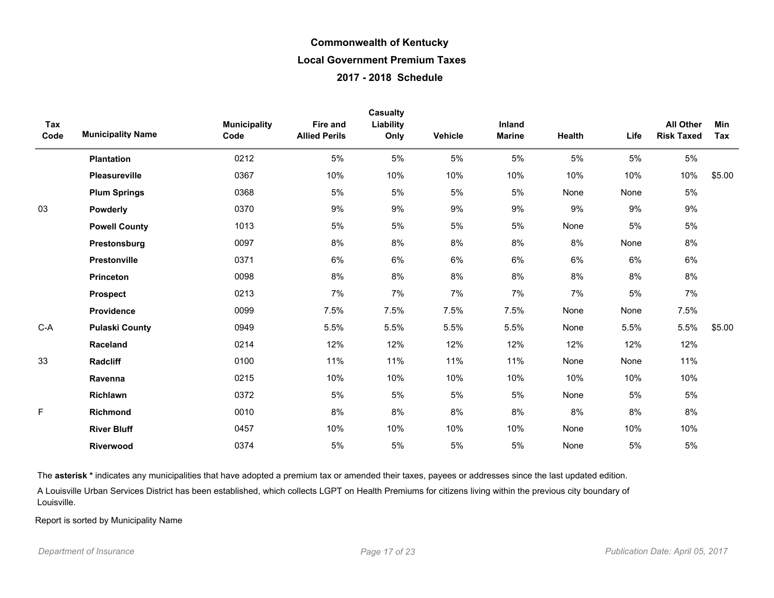| Tax<br>Code | <b>Municipality Name</b> | <b>Municipality</b><br>Code | <b>Fire and</b><br><b>Allied Perils</b> | <b>Casualty</b><br>Liability<br>Only | <b>Vehicle</b> | Inland<br><b>Marine</b> | Health | Life | <b>All Other</b><br><b>Risk Taxed</b> | Min<br>Tax |
|-------------|--------------------------|-----------------------------|-----------------------------------------|--------------------------------------|----------------|-------------------------|--------|------|---------------------------------------|------------|
|             | <b>Plantation</b>        | 0212                        | 5%                                      | 5%                                   | 5%             | 5%                      | $5\%$  | 5%   | $5\%$                                 |            |
|             | Pleasureville            | 0367                        | 10%                                     | 10%                                  | 10%            | 10%                     | 10%    | 10%  | 10%                                   | \$5.00     |
|             | <b>Plum Springs</b>      | 0368                        | 5%                                      | $5\%$                                | 5%             | 5%                      | None   | None | 5%                                    |            |
| 03          | Powderly                 | 0370                        | 9%                                      | 9%                                   | 9%             | 9%                      | 9%     | 9%   | $9\%$                                 |            |
|             | <b>Powell County</b>     | 1013                        | 5%                                      | $5\%$                                | $5\%$          | $5%$                    | None   | 5%   | $5\%$                                 |            |
|             | Prestonsburg             | 0097                        | 8%                                      | 8%                                   | 8%             | 8%                      | 8%     | None | 8%                                    |            |
|             | Prestonville             | 0371                        | 6%                                      | 6%                                   | 6%             | 6%                      | 6%     | 6%   | 6%                                    |            |
|             | <b>Princeton</b>         | 0098                        | 8%                                      | 8%                                   | 8%             | 8%                      | 8%     | 8%   | 8%                                    |            |
|             | <b>Prospect</b>          | 0213                        | 7%                                      | 7%                                   | 7%             | 7%                      | 7%     | 5%   | 7%                                    |            |
|             | Providence               | 0099                        | 7.5%                                    | 7.5%                                 | 7.5%           | 7.5%                    | None   | None | 7.5%                                  |            |
| $C-A$       | <b>Pulaski County</b>    | 0949                        | 5.5%                                    | 5.5%                                 | 5.5%           | 5.5%                    | None   | 5.5% | 5.5%                                  | \$5.00     |
|             | Raceland                 | 0214                        | 12%                                     | 12%                                  | 12%            | 12%                     | 12%    | 12%  | 12%                                   |            |
| 33          | <b>Radcliff</b>          | 0100                        | 11%                                     | 11%                                  | 11%            | 11%                     | None   | None | 11%                                   |            |
|             | Ravenna                  | 0215                        | 10%                                     | 10%                                  | 10%            | 10%                     | 10%    | 10%  | 10%                                   |            |
|             | Richlawn                 | 0372                        | 5%                                      | $5\%$                                | 5%             | $5%$                    | None   | 5%   | $5\%$                                 |            |
| F           | Richmond                 | 0010                        | 8%                                      | 8%                                   | 8%             | 8%                      | 8%     | 8%   | 8%                                    |            |
|             | <b>River Bluff</b>       | 0457                        | 10%                                     | 10%                                  | 10%            | 10%                     | None   | 10%  | 10%                                   |            |
|             | <b>Riverwood</b>         | 0374                        | 5%                                      | 5%                                   | 5%             | 5%                      | None   | 5%   | $5\%$                                 |            |

The asterisk \* indicates any municipalities that have adopted a premium tax or amended their taxes, payees or addresses since the last updated edition.

A Louisville Urban Services District has been established, which collects LGPT on Health Premiums for citizens living within the previous city boundary of Louisville.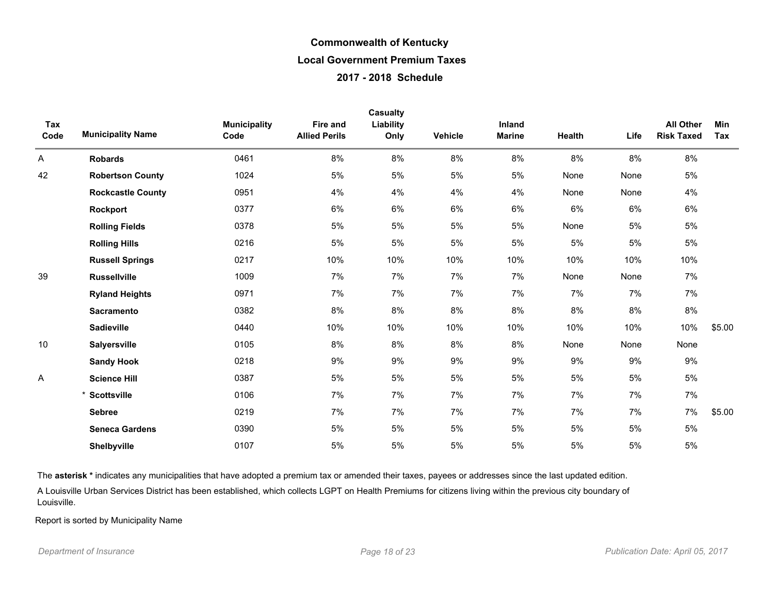| Tax<br>Code | <b>Municipality Name</b> | <b>Municipality</b><br>Code | <b>Fire and</b><br><b>Allied Perils</b> | Casualty<br>Liability<br>Only | Vehicle | Inland<br><b>Marine</b> | Health | Life  | <b>All Other</b><br><b>Risk Taxed</b> | Min<br>Tax |
|-------------|--------------------------|-----------------------------|-----------------------------------------|-------------------------------|---------|-------------------------|--------|-------|---------------------------------------|------------|
| Α           | <b>Robards</b>           | 0461                        | 8%                                      | 8%                            | 8%      | 8%                      | 8%     | 8%    | 8%                                    |            |
| 42          | <b>Robertson County</b>  | 1024                        | 5%                                      | 5%                            | 5%      | 5%                      | None   | None  | $5\%$                                 |            |
|             | <b>Rockcastle County</b> | 0951                        | 4%                                      | 4%                            | 4%      | 4%                      | None   | None  | 4%                                    |            |
|             | Rockport                 | 0377                        | 6%                                      | 6%                            | 6%      | 6%                      | 6%     | 6%    | 6%                                    |            |
|             | <b>Rolling Fields</b>    | 0378                        | 5%                                      | 5%                            | 5%      | 5%                      | None   | 5%    | 5%                                    |            |
|             | <b>Rolling Hills</b>     | 0216                        | 5%                                      | 5%                            | 5%      | 5%                      | 5%     | 5%    | 5%                                    |            |
|             | <b>Russell Springs</b>   | 0217                        | 10%                                     | 10%                           | 10%     | 10%                     | 10%    | 10%   | 10%                                   |            |
| 39          | <b>Russellville</b>      | 1009                        | 7%                                      | 7%                            | 7%      | 7%                      | None   | None  | 7%                                    |            |
|             | <b>Ryland Heights</b>    | 0971                        | 7%                                      | 7%                            | 7%      | 7%                      | 7%     | 7%    | 7%                                    |            |
|             | <b>Sacramento</b>        | 0382                        | 8%                                      | 8%                            | 8%      | 8%                      | 8%     | 8%    | 8%                                    |            |
|             | <b>Sadieville</b>        | 0440                        | 10%                                     | 10%                           | 10%     | 10%                     | 10%    | 10%   | 10%                                   | \$5.00     |
| 10          | <b>Salyersville</b>      | 0105                        | 8%                                      | 8%                            | 8%      | 8%                      | None   | None  | None                                  |            |
|             | <b>Sandy Hook</b>        | 0218                        | 9%                                      | 9%                            | 9%      | 9%                      | 9%     | 9%    | 9%                                    |            |
| Α           | <b>Science Hill</b>      | 0387                        | 5%                                      | 5%                            | 5%      | $5%$                    | 5%     | $5\%$ | $5\%$                                 |            |
|             | <b>Scottsville</b>       | 0106                        | 7%                                      | 7%                            | 7%      | 7%                      | 7%     | 7%    | 7%                                    |            |
|             | <b>Sebree</b>            | 0219                        | 7%                                      | 7%                            | 7%      | 7%                      | 7%     | 7%    | 7%                                    | \$5.00     |
|             | <b>Seneca Gardens</b>    | 0390                        | 5%                                      | 5%                            | 5%      | 5%                      | 5%     | $5\%$ | $5\%$                                 |            |
|             | Shelbyville              | 0107                        | 5%                                      | 5%                            | 5%      | 5%                      | 5%     | $5\%$ | $5\%$                                 |            |

The asterisk \* indicates any municipalities that have adopted a premium tax or amended their taxes, payees or addresses since the last updated edition.

A Louisville Urban Services District has been established, which collects LGPT on Health Premiums for citizens living within the previous city boundary of Louisville.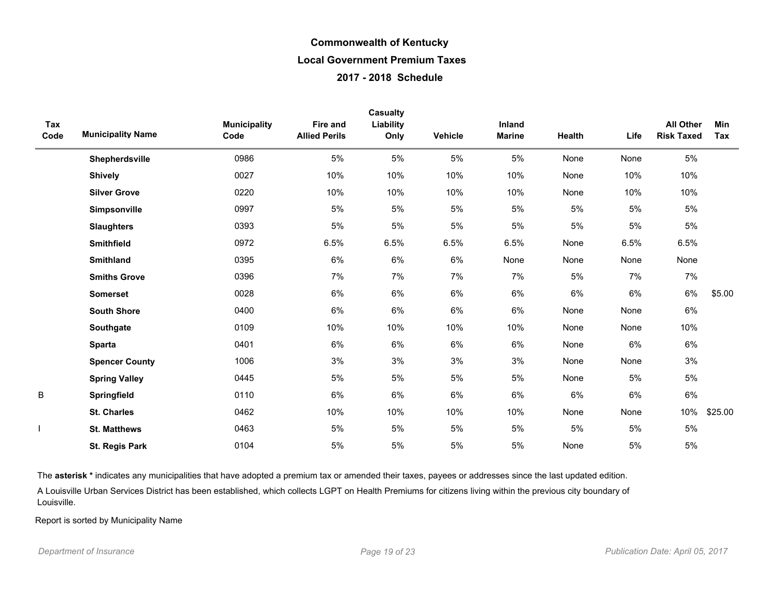|             |                          |                             |                                  | <b>Casualty</b>   |         |                         |        |       |                                       |            |
|-------------|--------------------------|-----------------------------|----------------------------------|-------------------|---------|-------------------------|--------|-------|---------------------------------------|------------|
| Tax<br>Code | <b>Municipality Name</b> | <b>Municipality</b><br>Code | Fire and<br><b>Allied Perils</b> | Liability<br>Only | Vehicle | Inland<br><b>Marine</b> | Health | Life  | <b>All Other</b><br><b>Risk Taxed</b> | Min<br>Tax |
|             | Shepherdsville           | 0986                        | 5%                               | $5\%$             | 5%      | 5%                      | None   | None  | 5%                                    |            |
|             | <b>Shively</b>           | 0027                        | 10%                              | 10%               | 10%     | 10%                     | None   | 10%   | 10%                                   |            |
|             | <b>Silver Grove</b>      | 0220                        | 10%                              | 10%               | 10%     | 10%                     | None   | 10%   | 10%                                   |            |
|             | Simpsonville             | 0997                        | 5%                               | 5%                | 5%      | 5%                      | 5%     | $5\%$ | $5\%$                                 |            |
|             | <b>Slaughters</b>        | 0393                        | 5%                               | $5\%$             | 5%      | 5%                      | 5%     | 5%    | $5\%$                                 |            |
|             | <b>Smithfield</b>        | 0972                        | 6.5%                             | 6.5%              | 6.5%    | 6.5%                    | None   | 6.5%  | 6.5%                                  |            |
|             | <b>Smithland</b>         | 0395                        | 6%                               | $6\%$             | 6%      | None                    | None   | None  | None                                  |            |
|             | <b>Smiths Grove</b>      | 0396                        | 7%                               | 7%                | 7%      | 7%                      | 5%     | 7%    | 7%                                    |            |
|             | <b>Somerset</b>          | 0028                        | 6%                               | $6\%$             | 6%      | 6%                      | $6\%$  | 6%    | 6%                                    | \$5.00     |
|             | <b>South Shore</b>       | 0400                        | 6%                               | 6%                | 6%      | 6%                      | None   | None  | 6%                                    |            |
|             | Southgate                | 0109                        | 10%                              | 10%               | 10%     | 10%                     | None   | None  | 10%                                   |            |
|             | <b>Sparta</b>            | 0401                        | 6%                               | 6%                | 6%      | 6%                      | None   | 6%    | 6%                                    |            |
|             | <b>Spencer County</b>    | 1006                        | 3%                               | 3%                | 3%      | 3%                      | None   | None  | 3%                                    |            |
|             | <b>Spring Valley</b>     | 0445                        | 5%                               | $5\%$             | 5%      | 5%                      | None   | 5%    | $5\%$                                 |            |
| B           | Springfield              | 0110                        | 6%                               | 6%                | 6%      | 6%                      | 6%     | 6%    | $6\%$                                 |            |
|             | <b>St. Charles</b>       | 0462                        | 10%                              | 10%               | 10%     | 10%                     | None   | None  | 10%                                   | \$25.00    |
|             | <b>St. Matthews</b>      | 0463                        | 5%                               | $5\%$             | 5%      | 5%                      | 5%     | $5\%$ | $5\%$                                 |            |
|             | <b>St. Regis Park</b>    | 0104                        | 5%                               | 5%                | 5%      | 5%                      | None   | 5%    | 5%                                    |            |

The asterisk \* indicates any municipalities that have adopted a premium tax or amended their taxes, payees or addresses since the last updated edition.

A Louisville Urban Services District has been established, which collects LGPT on Health Premiums for citizens living within the previous city boundary of Louisville.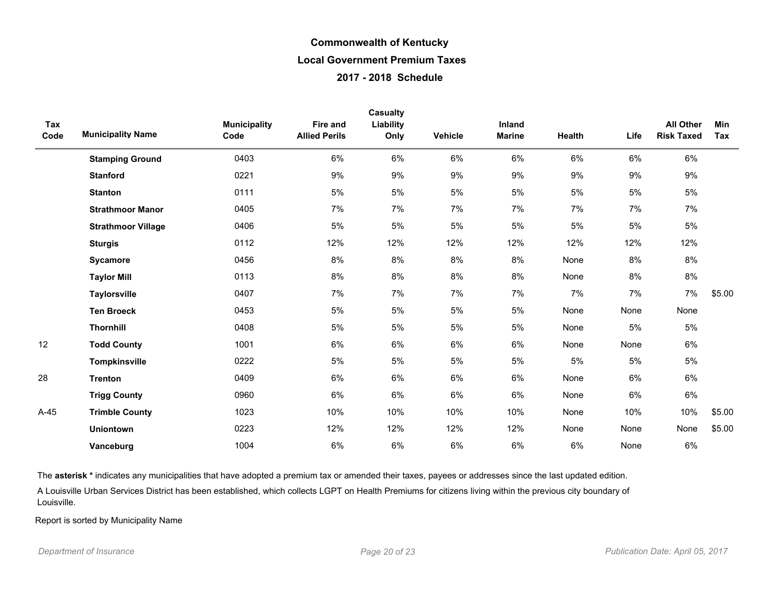| Tax<br>Code | <b>Municipality Name</b>  | <b>Municipality</b><br>Code | <b>Fire and</b><br><b>Allied Perils</b> | <b>Casualty</b><br>Liability<br>Only | <b>Vehicle</b> | Inland<br><b>Marine</b> | Health | Life  | <b>All Other</b><br><b>Risk Taxed</b> | <b>Min</b><br>Tax |
|-------------|---------------------------|-----------------------------|-----------------------------------------|--------------------------------------|----------------|-------------------------|--------|-------|---------------------------------------|-------------------|
|             | <b>Stamping Ground</b>    | 0403                        | 6%                                      | $6\%$                                | 6%             | 6%                      | 6%     | 6%    | 6%                                    |                   |
|             | <b>Stanford</b>           | 0221                        | 9%                                      | 9%                                   | 9%             | 9%                      | 9%     | 9%    | 9%                                    |                   |
|             | <b>Stanton</b>            | 0111                        | 5%                                      | 5%                                   | 5%             | 5%                      | 5%     | 5%    | $5\%$                                 |                   |
|             | <b>Strathmoor Manor</b>   | 0405                        | 7%                                      | 7%                                   | 7%             | 7%                      | 7%     | 7%    | 7%                                    |                   |
|             | <b>Strathmoor Village</b> | 0406                        | 5%                                      | 5%                                   | 5%             | 5%                      | 5%     | $5\%$ | 5%                                    |                   |
|             | <b>Sturgis</b>            | 0112                        | 12%                                     | 12%                                  | 12%            | 12%                     | 12%    | 12%   | 12%                                   |                   |
|             | Sycamore                  | 0456                        | 8%                                      | 8%                                   | 8%             | 8%                      | None   | 8%    | 8%                                    |                   |
|             | <b>Taylor Mill</b>        | 0113                        | 8%                                      | 8%                                   | 8%             | 8%                      | None   | 8%    | 8%                                    |                   |
|             | <b>Taylorsville</b>       | 0407                        | 7%                                      | 7%                                   | 7%             | 7%                      | 7%     | 7%    | 7%                                    | \$5.00            |
|             | <b>Ten Broeck</b>         | 0453                        | $5%$                                    | 5%                                   | 5%             | 5%                      | None   | None  | None                                  |                   |
|             | <b>Thornhill</b>          | 0408                        | 5%                                      | $5\%$                                | 5%             | 5%                      | None   | $5\%$ | $5\%$                                 |                   |
| 12          | <b>Todd County</b>        | 1001                        | $6\%$                                   | 6%                                   | 6%             | 6%                      | None   | None  | 6%                                    |                   |
|             | <b>Tompkinsville</b>      | 0222                        | 5%                                      | 5%                                   | 5%             | 5%                      | 5%     | 5%    | 5%                                    |                   |
| 28          | <b>Trenton</b>            | 0409                        | 6%                                      | 6%                                   | $6\%$          | 6%                      | None   | 6%    | 6%                                    |                   |
|             | <b>Trigg County</b>       | 0960                        | 6%                                      | 6%                                   | 6%             | 6%                      | None   | 6%    | $6\%$                                 |                   |
| $A-45$      | <b>Trimble County</b>     | 1023                        | 10%                                     | 10%                                  | 10%            | 10%                     | None   | 10%   | 10%                                   | \$5.00            |
|             | <b>Uniontown</b>          | 0223                        | 12%                                     | 12%                                  | 12%            | 12%                     | None   | None  | None                                  | \$5.00            |
|             | Vanceburg                 | 1004                        | 6%                                      | 6%                                   | 6%             | 6%                      | 6%     | None  | 6%                                    |                   |

The asterisk \* indicates any municipalities that have adopted a premium tax or amended their taxes, payees or addresses since the last updated edition.

A Louisville Urban Services District has been established, which collects LGPT on Health Premiums for citizens living within the previous city boundary of Louisville.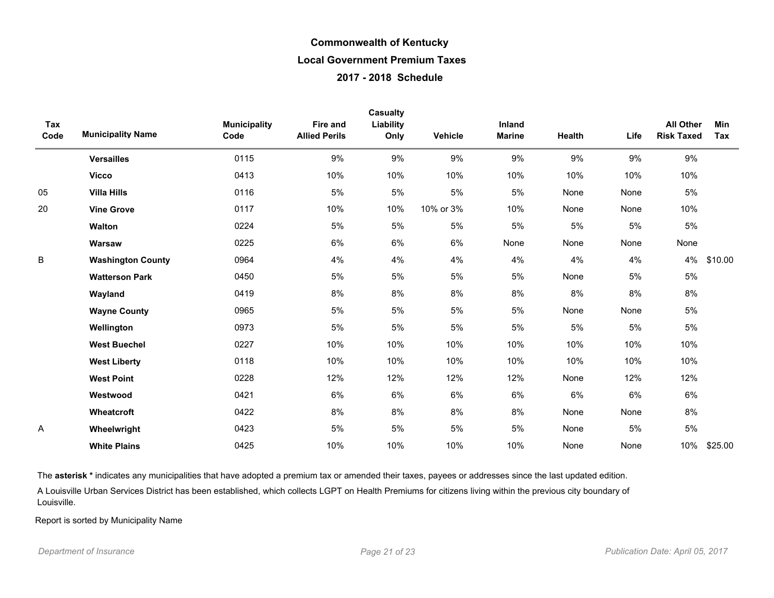| Tax<br>Code | <b>Municipality Name</b> | <b>Municipality</b><br>Code | <b>Fire and</b><br><b>Allied Perils</b> | Casualty<br>Liability<br>Only | Vehicle   | <b>Inland</b><br><b>Marine</b> | Health | Life | <b>All Other</b><br><b>Risk Taxed</b> | Min<br>Tax |
|-------------|--------------------------|-----------------------------|-----------------------------------------|-------------------------------|-----------|--------------------------------|--------|------|---------------------------------------|------------|
|             | <b>Versailles</b>        | 0115                        | 9%                                      | 9%                            | 9%        | 9%                             | 9%     | 9%   | 9%                                    |            |
|             | <b>Vicco</b>             | 0413                        | 10%                                     | 10%                           | 10%       | 10%                            | 10%    | 10%  | 10%                                   |            |
| 05          | <b>Villa Hills</b>       | 0116                        | 5%                                      | 5%                            | 5%        | 5%                             | None   | None | 5%                                    |            |
| 20          | <b>Vine Grove</b>        | 0117                        | 10%                                     | 10%                           | 10% or 3% | 10%                            | None   | None | 10%                                   |            |
|             | Walton                   | 0224                        | 5%                                      | 5%                            | 5%        | 5%                             | 5%     | 5%   | $5\%$                                 |            |
|             | Warsaw                   | 0225                        | $6\%$                                   | 6%                            | 6%        | None                           | None   | None | None                                  |            |
| B           | <b>Washington County</b> | 0964                        | 4%                                      | 4%                            | 4%        | 4%                             | 4%     | 4%   | 4%                                    | \$10.00    |
|             | <b>Watterson Park</b>    | 0450                        | 5%                                      | 5%                            | 5%        | $5%$                           | None   | 5%   | $5\%$                                 |            |
|             | Wayland                  | 0419                        | 8%                                      | 8%                            | 8%        | 8%                             | 8%     | 8%   | 8%                                    |            |
|             | <b>Wayne County</b>      | 0965                        | 5%                                      | 5%                            | 5%        | 5%                             | None   | None | 5%                                    |            |
|             | Wellington               | 0973                        | 5%                                      | $5\%$                         | 5%        | 5%                             | 5%     | 5%   | 5%                                    |            |
|             | <b>West Buechel</b>      | 0227                        | 10%                                     | 10%                           | 10%       | 10%                            | 10%    | 10%  | 10%                                   |            |
|             | <b>West Liberty</b>      | 0118                        | 10%                                     | 10%                           | 10%       | 10%                            | 10%    | 10%  | 10%                                   |            |
|             | <b>West Point</b>        | 0228                        | 12%                                     | 12%                           | 12%       | 12%                            | None   | 12%  | 12%                                   |            |
|             | Westwood                 | 0421                        | 6%                                      | 6%                            | 6%        | 6%                             | 6%     | 6%   | 6%                                    |            |
|             | Wheatcroft               | 0422                        | 8%                                      | 8%                            | 8%        | 8%                             | None   | None | 8%                                    |            |
| A           | Wheelwright              | 0423                        | 5%                                      | $5\%$                         | $5%$      | 5%                             | None   | 5%   | $5\%$                                 |            |
|             | <b>White Plains</b>      | 0425                        | 10%                                     | 10%                           | 10%       | 10%                            | None   | None | 10%                                   | \$25.00    |

The asterisk \* indicates any municipalities that have adopted a premium tax or amended their taxes, payees or addresses since the last updated edition.

A Louisville Urban Services District has been established, which collects LGPT on Health Premiums for citizens living within the previous city boundary of Louisville.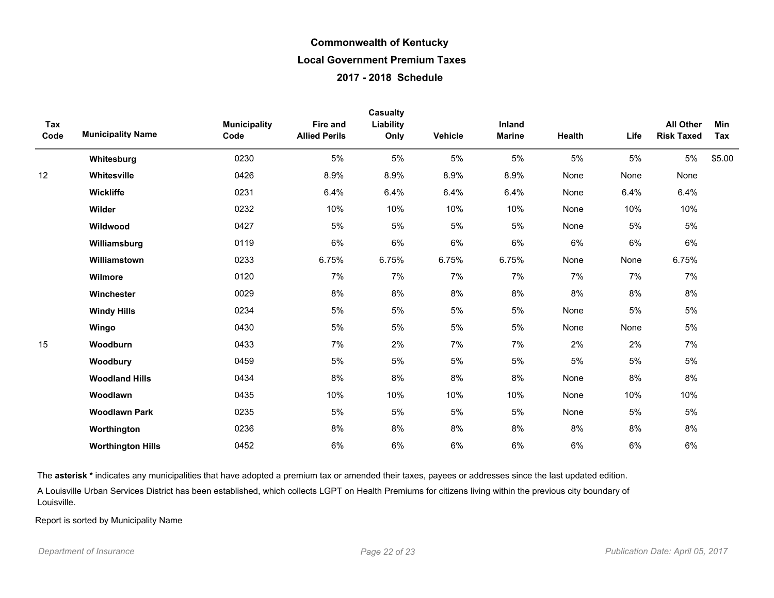| Tax<br>Code | <b>Municipality Name</b> | <b>Municipality</b><br>Code | Fire and<br><b>Allied Perils</b> | <b>Casualty</b><br>Liability<br>Only | Vehicle | Inland<br><b>Marine</b> | Health | Life | <b>All Other</b><br><b>Risk Taxed</b> | Min<br>Tax |
|-------------|--------------------------|-----------------------------|----------------------------------|--------------------------------------|---------|-------------------------|--------|------|---------------------------------------|------------|
|             | Whitesburg               | 0230                        | 5%                               | 5%                                   | 5%      | 5%                      | 5%     | 5%   | $5\%$                                 | \$5.00     |
| 12          | Whitesville              | 0426                        | 8.9%                             | 8.9%                                 | 8.9%    | 8.9%                    | None   | None | None                                  |            |
|             | <b>Wickliffe</b>         | 0231                        | 6.4%                             | 6.4%                                 | 6.4%    | 6.4%                    | None   | 6.4% | 6.4%                                  |            |
|             | Wilder                   | 0232                        | 10%                              | 10%                                  | 10%     | 10%                     | None   | 10%  | 10%                                   |            |
|             | Wildwood                 | 0427                        | 5%                               | 5%                                   | 5%      | 5%                      | None   | 5%   | $5\%$                                 |            |
|             | Williamsburg             | 0119                        | 6%                               | 6%                                   | 6%      | 6%                      | 6%     | 6%   | $6\%$                                 |            |
|             | Williamstown             | 0233                        | 6.75%                            | 6.75%                                | 6.75%   | 6.75%                   | None   | None | 6.75%                                 |            |
|             | Wilmore                  | 0120                        | 7%                               | 7%                                   | 7%      | 7%                      | 7%     | 7%   | 7%                                    |            |
|             | Winchester               | 0029                        | 8%                               | 8%                                   | 8%      | 8%                      | 8%     | 8%   | 8%                                    |            |
|             | <b>Windy Hills</b>       | 0234                        | $5\%$                            | 5%                                   | 5%      | 5%                      | None   | 5%   | $5\%$                                 |            |
|             | Wingo                    | 0430                        | 5%                               | 5%                                   | 5%      | 5%                      | None   | None | $5\%$                                 |            |
| 15          | Woodburn                 | 0433                        | 7%                               | 2%                                   | 7%      | 7%                      | 2%     | 2%   | 7%                                    |            |
|             | Woodbury                 | 0459                        | 5%                               | 5%                                   | 5%      | 5%                      | 5%     | 5%   | $5\%$                                 |            |
|             | <b>Woodland Hills</b>    | 0434                        | 8%                               | 8%                                   | 8%      | 8%                      | None   | 8%   | $8\%$                                 |            |
|             | Woodlawn                 | 0435                        | 10%                              | 10%                                  | 10%     | 10%                     | None   | 10%  | 10%                                   |            |
|             | <b>Woodlawn Park</b>     | 0235                        | 5%                               | 5%                                   | 5%      | 5%                      | None   | 5%   | $5\%$                                 |            |
|             | Worthington              | 0236                        | 8%                               | 8%                                   | 8%      | 8%                      | 8%     | 8%   | 8%                                    |            |
|             | <b>Worthington Hills</b> | 0452                        | 6%                               | 6%                                   | $6\%$   | 6%                      | 6%     | 6%   | $6\%$                                 |            |

The asterisk \* indicates any municipalities that have adopted a premium tax or amended their taxes, payees or addresses since the last updated edition.

A Louisville Urban Services District has been established, which collects LGPT on Health Premiums for citizens living within the previous city boundary of Louisville.